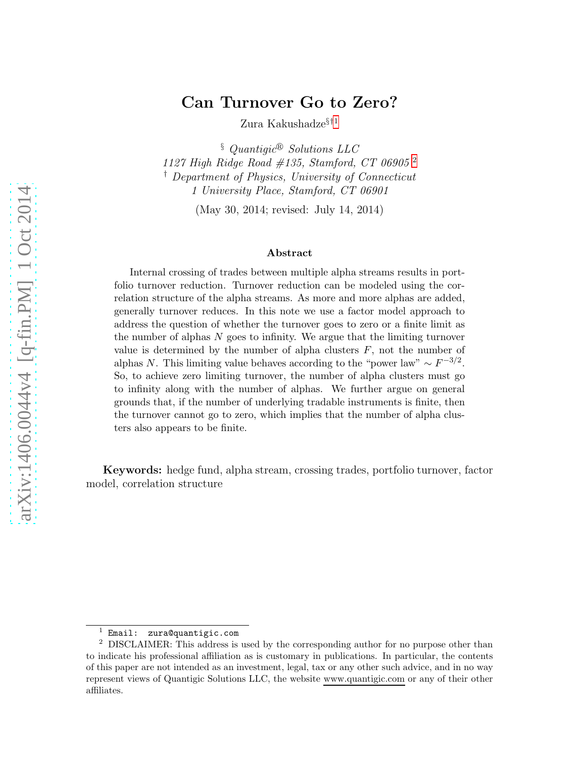## Can Turnover Go to Zero?

Zura Kakushadze<br/> $\mathbf{F}^{11}$  $\mathbf{F}^{11}$  $\mathbf{F}^{11}$ 

 $§$  Quantiqic<sup>®</sup> Solutions LLC 11[2](#page-0-1)7 High Ridge Road #135, Stamford, CT 06905<sup>2</sup> † Department of Physics, University of Connecticut 1 University Place, Stamford, CT 06901

(May 30, 2014; revised: July 14, 2014)

#### Abstract

Internal crossing of trades between multiple alpha streams results in portfolio turnover reduction. Turnover reduction can be modeled using the correlation structure of the alpha streams. As more and more alphas are added, generally turnover reduces. In this note we use a factor model approach to address the question of whether the turnover goes to zero or a finite limit as the number of alphas  $N$  goes to infinity. We argue that the limiting turnover value is determined by the number of alpha clusters  $F$ , not the number of alphas N. This limiting value behaves according to the "power law"  $\sim F^{-3/2}$ . So, to achieve zero limiting turnover, the number of alpha clusters must go to infinity along with the number of alphas. We further argue on general grounds that, if the number of underlying tradable instruments is finite, then the turnover cannot go to zero, which implies that the number of alpha clusters also appears to be finite.

Keywords: hedge fund, alpha stream, crossing trades, portfolio turnover, factor model, correlation structure

<span id="page-0-0"></span> $1$  Email: zura@quantigic.com

<span id="page-0-1"></span><sup>2</sup> DISCLAIMER: This address is used by the corresponding author for no purpose other than to indicate his professional affiliation as is customary in publications. In particular, the contents of this paper are not intended as an investment, legal, tax or any other such advice, and in no way represent views of Quantigic Solutions LLC, the website www.quantigic.com or any of their other affiliates.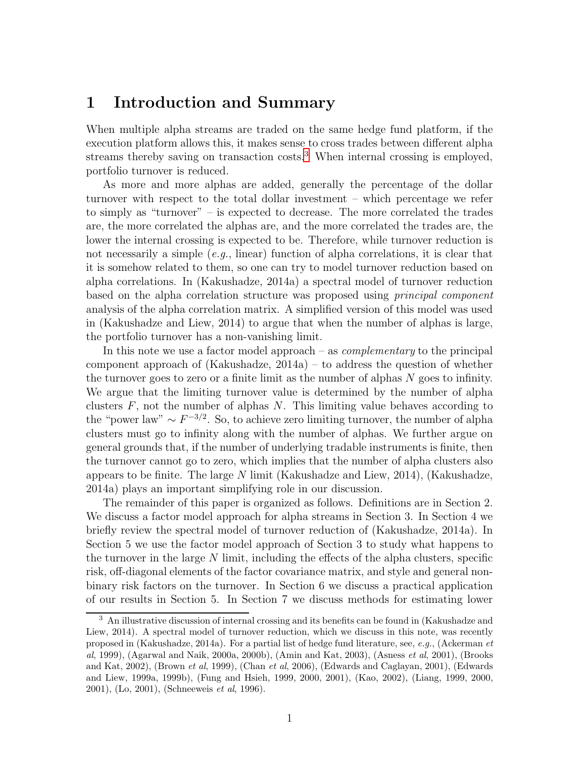### 1 Introduction and Summary

When multiple alpha streams are traded on the same hedge fund platform, if the execution platform allows this, it makes sense to cross trades between different alpha streams thereby saving on transaction costs.<sup>[3](#page-1-0)</sup> When internal crossing is employed, portfolio turnover is reduced.

As more and more alphas are added, generally the percentage of the dollar turnover with respect to the total dollar investment – which percentage we refer to simply as "turnover" – is expected to decrease. The more correlated the trades are, the more correlated the alphas are, and the more correlated the trades are, the lower the internal crossing is expected to be. Therefore, while turnover reduction is not necessarily a simple  $(e, q, \text{linear})$  function of alpha correlations, it is clear that it is somehow related to them, so one can try to model turnover reduction based on alpha correlations. In (Kakushadze, 2014a) a spectral model of turnover reduction based on the alpha correlation structure was proposed using principal component analysis of the alpha correlation matrix. A simplified version of this model was used in (Kakushadze and Liew, 2014) to argue that when the number of alphas is large, the portfolio turnover has a non-vanishing limit.

In this note we use a factor model approach – as *complementary* to the principal component approach of (Kakushadze, 2014a) – to address the question of whether the turnover goes to zero or a finite limit as the number of alphas  $N$  goes to infinity. We argue that the limiting turnover value is determined by the number of alpha clusters  $F$ , not the number of alphas  $N$ . This limiting value behaves according to the "power law"  $\sim F^{-3/2}$ . So, to achieve zero limiting turnover, the number of alpha clusters must go to infinity along with the number of alphas. We further argue on general grounds that, if the number of underlying tradable instruments is finite, then the turnover cannot go to zero, which implies that the number of alpha clusters also appears to be finite. The large N limit (Kakushadze and Liew, 2014), (Kakushadze, 2014a) plays an important simplifying role in our discussion.

The remainder of this paper is organized as follows. Definitions are in Section 2. We discuss a factor model approach for alpha streams in Section 3. In Section 4 we briefly review the spectral model of turnover reduction of (Kakushadze, 2014a). In Section 5 we use the factor model approach of Section 3 to study what happens to the turnover in the large  $N$  limit, including the effects of the alpha clusters, specific risk, off-diagonal elements of the factor covariance matrix, and style and general nonbinary risk factors on the turnover. In Section 6 we discuss a practical application of our results in Section 5. In Section 7 we discuss methods for estimating lower

<span id="page-1-0"></span><sup>3</sup> An illustrative discussion of internal crossing and its benefits can be found in (Kakushadze and Liew, 2014). A spectral model of turnover reduction, which we discuss in this note, was recently proposed in (Kakushadze, 2014a). For a partial list of hedge fund literature, see, e.g., (Ackerman et al, 1999), (Agarwal and Naik, 2000a, 2000b), (Amin and Kat, 2003), (Asness et al, 2001), (Brooks and Kat, 2002), (Brown et al, 1999), (Chan et al, 2006), (Edwards and Caglayan, 2001), (Edwards and Liew, 1999a, 1999b), (Fung and Hsieh, 1999, 2000, 2001), (Kao, 2002), (Liang, 1999, 2000, 2001), (Lo, 2001), (Schneeweis et al, 1996).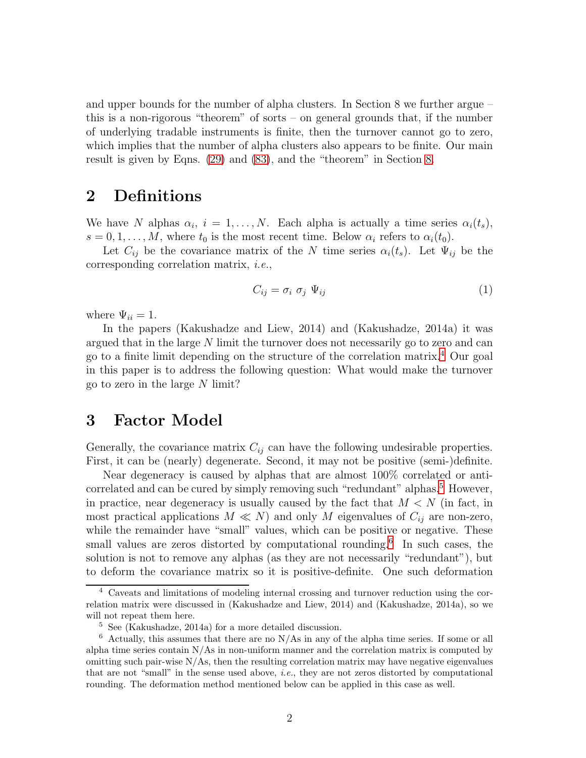and upper bounds for the number of alpha clusters. In Section 8 we further argue – this is a non-rigorous "theorem" of sorts – on general grounds that, if the number of underlying tradable instruments is finite, then the turnover cannot go to zero, which implies that the number of alpha clusters also appears to be finite. Our main result is given by Eqns. [\(29\)](#page-7-0) and [\(83\)](#page-15-0), and the "theorem" in Section [8.](#page-17-0)

## <span id="page-2-3"></span>2 Definitions

We have N alphas  $\alpha_i$ ,  $i = 1, ..., N$ . Each alpha is actually a time series  $\alpha_i(t_s)$ ,  $s = 0, 1, \ldots, M$ , where  $t_0$  is the most recent time. Below  $\alpha_i$  refers to  $\alpha_i(t_0)$ .

Let  $C_{ij}$  be the covariance matrix of the N time series  $\alpha_i(t_s)$ . Let  $\Psi_{ij}$  be the corresponding correlation matrix, i.e.,

$$
C_{ij} = \sigma_i \ \sigma_j \ \Psi_{ij} \tag{1}
$$

where  $\Psi_{ii} = 1$ .

In the papers (Kakushadze and Liew, 2014) and (Kakushadze, 2014a) it was argued that in the large N limit the turnover does not necessarily go to zero and can go to a finite limit depending on the structure of the correlation matrix.[4](#page-2-0) Our goal in this paper is to address the following question: What would make the turnover go to zero in the large  $N$  limit?

## 3 Factor Model

Generally, the covariance matrix  $C_{ij}$  can have the following undesirable properties. First, it can be (nearly) degenerate. Second, it may not be positive (semi-)definite.

Near degeneracy is caused by alphas that are almost 100% correlated or anti-correlated and can be cured by simply removing such "redundant" alphas.<sup>[5](#page-2-1)</sup> However, in practice, near degeneracy is usually caused by the fact that  $M < N$  (in fact, in most practical applications  $M \ll N$ ) and only M eigenvalues of  $C_{ij}$  are non-zero, while the remainder have "small" values, which can be positive or negative. These small values are zeros distorted by computational rounding.<sup>[6](#page-2-2)</sup> In such cases, the solution is not to remove any alphas (as they are not necessarily "redundant"), but to deform the covariance matrix so it is positive-definite. One such deformation

<span id="page-2-0"></span><sup>4</sup> Caveats and limitations of modeling internal crossing and turnover reduction using the correlation matrix were discussed in (Kakushadze and Liew, 2014) and (Kakushadze, 2014a), so we will not repeat them here.

<span id="page-2-1"></span><sup>5</sup> See (Kakushadze, 2014a) for a more detailed discussion.

<span id="page-2-2"></span> $6$  Actually, this assumes that there are no N/As in any of the alpha time series. If some or all alpha time series contain  $N/As$  in non-uniform manner and the correlation matrix is computed by omitting such pair-wise  $N/As$ , then the resulting correlation matrix may have negative eigenvalues that are not "small" in the sense used above, i.e., they are not zeros distorted by computational rounding. The deformation method mentioned below can be applied in this case as well.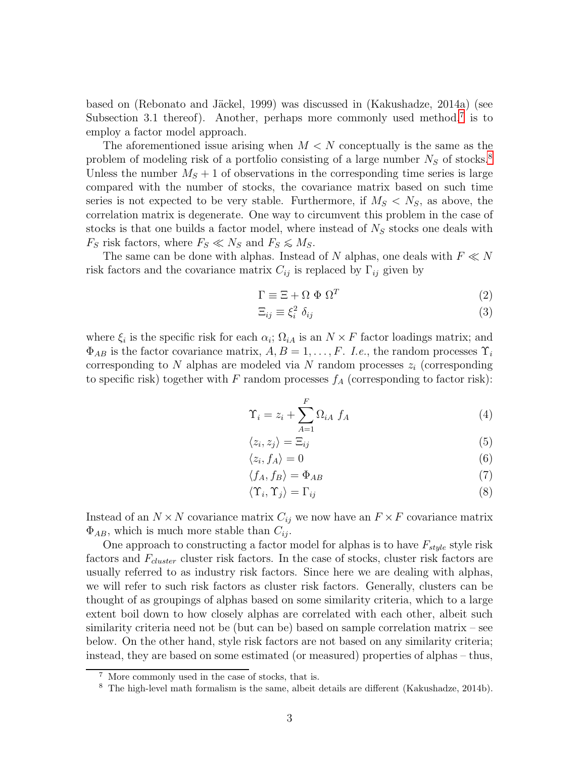based on (Rebonato and Jäckel, 1999) was discussed in (Kakushadze, 2014a) (see Subsection 3.1 thereof). Another, perhaps more commonly used method,<sup>[7](#page-3-0)</sup> is to employ a factor model approach.

The aforementioned issue arising when  $M < N$  conceptually is the same as the problem of modeling risk of a portfolio consisting of a large number  $N<sub>S</sub>$  of stocks.<sup>[8](#page-3-1)</sup> Unless the number  $M<sub>S</sub> + 1$  of observations in the corresponding time series is large compared with the number of stocks, the covariance matrix based on such time series is not expected to be very stable. Furthermore, if  $M_S < N_S$ , as above, the correlation matrix is degenerate. One way to circumvent this problem in the case of stocks is that one builds a factor model, where instead of  $N<sub>S</sub>$  stocks one deals with  $F_S$  risk factors, where  $F_S \ll N_S$  and  $F_S \lesssim M_S$ .

The same can be done with alphas. Instead of N alphas, one deals with  $F \ll N$ risk factors and the covariance matrix  $C_{ij}$  is replaced by  $\Gamma_{ij}$  given by

$$
\Gamma \equiv \Xi + \Omega \Phi \Omega^T \tag{2}
$$

$$
\Xi_{ij} \equiv \xi_i^2 \; \delta_{ij} \tag{3}
$$

where  $\xi_i$  is the specific risk for each  $\alpha_i$ ;  $\Omega_{iA}$  is an  $N \times F$  factor loadings matrix; and  $\Phi_{AB}$  is the factor covariance matrix,  $A, B = 1, \ldots, F$ . I.e., the random processes  $\Upsilon_i$ corresponding to  $N$  alphas are modeled via  $N$  random processes  $z_i$  (corresponding to specific risk) together with F random processes  $f_A$  (corresponding to factor risk):

$$
\Upsilon_i = z_i + \sum_{A=1}^{F} \Omega_{iA} f_A \tag{4}
$$

$$
\langle z_i, z_j \rangle = \Xi_{ij} \tag{5}
$$

$$
\langle z_i, f_A \rangle = 0 \tag{6}
$$

$$
\langle f_A, f_B \rangle = \Phi_{AB} \tag{7}
$$

$$
\langle \Upsilon_i, \Upsilon_j \rangle = \Gamma_{ij} \tag{8}
$$

Instead of an  $N \times N$  covariance matrix  $C_{ij}$  we now have an  $F \times F$  covariance matrix  $\Phi_{AB}$ , which is much more stable than  $C_{ij}$ .

One approach to constructing a factor model for alphas is to have  $F_{style}$  style risk factors and  $F_{cluster}$  cluster risk factors. In the case of stocks, cluster risk factors are usually referred to as industry risk factors. Since here we are dealing with alphas, we will refer to such risk factors as cluster risk factors. Generally, clusters can be thought of as groupings of alphas based on some similarity criteria, which to a large extent boil down to how closely alphas are correlated with each other, albeit such similarity criteria need not be (but can be) based on sample correlation matrix – see below. On the other hand, style risk factors are not based on any similarity criteria; instead, they are based on some estimated (or measured) properties of alphas – thus,

<sup>7</sup> More commonly used in the case of stocks, that is.

<span id="page-3-1"></span><span id="page-3-0"></span><sup>8</sup> The high-level math formalism is the same, albeit details are different (Kakushadze, 2014b).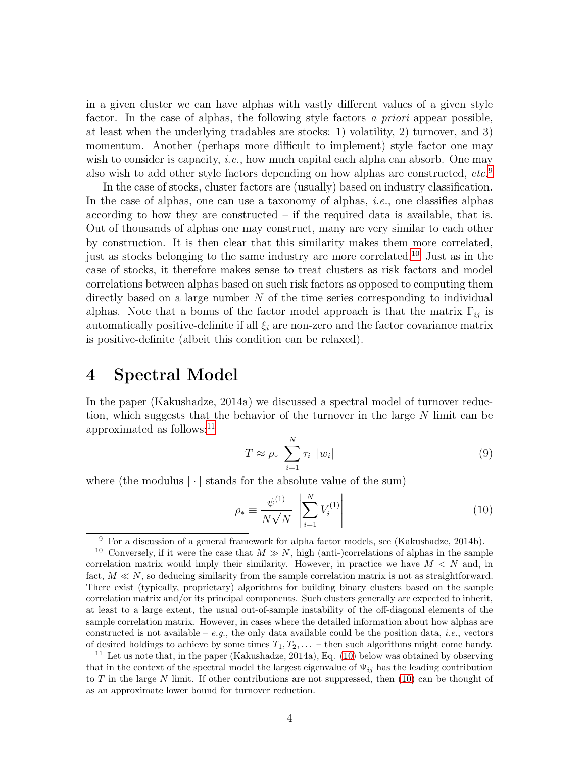in a given cluster we can have alphas with vastly different values of a given style factor. In the case of alphas, the following style factors a priori appear possible, at least when the underlying tradables are stocks: 1) volatility, 2) turnover, and 3) momentum. Another (perhaps more difficult to implement) style factor one may wish to consider is capacity, *i.e.*, how much capital each alpha can absorb. One may also wish to add other style factors depending on how alphas are constructed, etc.[9](#page-4-0)

In the case of stocks, cluster factors are (usually) based on industry classification. In the case of alphas, one can use a taxonomy of alphas, *i.e.*, one classifies alphas according to how they are constructed – if the required data is available, that is. Out of thousands of alphas one may construct, many are very similar to each other by construction. It is then clear that this similarity makes them more correlated, just as stocks belonging to the same industry are more correlated. [10](#page-4-1) Just as in the case of stocks, it therefore makes sense to treat clusters as risk factors and model correlations between alphas based on such risk factors as opposed to computing them directly based on a large number  $N$  of the time series corresponding to individual alphas. Note that a bonus of the factor model approach is that the matrix  $\Gamma_{ij}$  is automatically positive-definite if all  $\xi_i$  are non-zero and the factor covariance matrix is positive-definite (albeit this condition can be relaxed).

### 4 Spectral Model

In the paper (Kakushadze, 2014a) we discussed a spectral model of turnover reduction, which suggests that the behavior of the turnover in the large N limit can be approximated as follows:[11](#page-4-2)

$$
T \approx \rho_* \sum_{i=1}^{N} \tau_i |w_i|
$$
\n(9)

where (the modulus  $|\cdot|$  stands for the absolute value of the sum)

<span id="page-4-3"></span>
$$
\rho_{*} \equiv \frac{\psi^{(1)}}{N\sqrt{N}} \left| \sum_{i=1}^{N} V_{i}^{(1)} \right| \tag{10}
$$

<span id="page-4-0"></span><sup>9</sup> For a discussion of a general framework for alpha factor models, see (Kakushadze, 2014b).

<span id="page-4-1"></span><sup>&</sup>lt;sup>10</sup> Conversely, if it were the case that  $M \gg N$ , high (anti-)correlations of alphas in the sample correlation matrix would imply their similarity. However, in practice we have  $M < N$  and, in fact,  $M \ll N$ , so deducing similarity from the sample correlation matrix is not as straightforward. There exist (typically, proprietary) algorithms for building binary clusters based on the sample correlation matrix and/or its principal components. Such clusters generally are expected to inherit, at least to a large extent, the usual out-of-sample instability of the off-diagonal elements of the sample correlation matrix. However, in cases where the detailed information about how alphas are constructed is not available – e.g., the only data available could be the position data, *i.e.*, vectors of desired holdings to achieve by some times  $T_1, T_2, \ldots$  – then such algorithms might come handy.

<span id="page-4-2"></span><sup>&</sup>lt;sup>11</sup> Let us note that, in the paper (Kakushadze, 2014a), Eq. [\(10\)](#page-4-3) below was obtained by observing that in the context of the spectral model the largest eigenvalue of  $\Psi_{ij}$  has the leading contribution to T in the large N limit. If other contributions are not suppressed, then  $(10)$  can be thought of as an approximate lower bound for turnover reduction.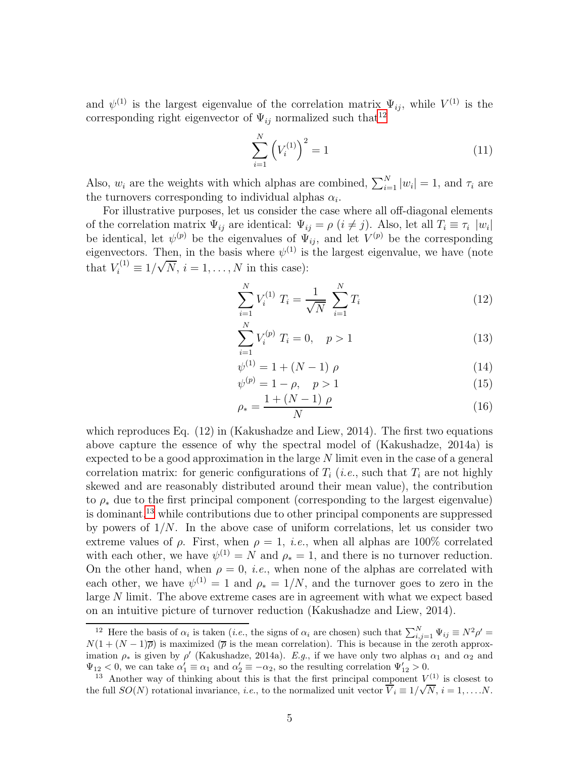and  $\psi^{(1)}$  is the largest eigenvalue of the correlation matrix  $\Psi_{ij}$ , while  $V^{(1)}$  is the corresponding right eigenvector of  $\Psi_{ij}$  normalized such that<sup>[12](#page-5-0)</sup>

$$
\sum_{i=1}^{N} \left( V_i^{(1)} \right)^2 = 1 \tag{11}
$$

Also,  $w_i$  are the weights with which alphas are combined,  $\sum_{i=1}^{N} |w_i| = 1$ , and  $\tau_i$  are the turnovers corresponding to individual alphas  $\alpha_i$ .

For illustrative purposes, let us consider the case where all off-diagonal elements of the correlation matrix  $\Psi_{ij}$  are identical:  $\Psi_{ij} = \rho (i \neq j)$ . Also, let all  $T_i \equiv \tau_i |w_i|$ be identical, let  $\psi^{(p)}$  be the eigenvalues of  $\Psi_{ij}$ , and let  $V^{(p)}$  be the corresponding eigenvectors. Then, in the basis where  $\psi^{(1)}$  is the largest eigenvalue, we have (note that  $V_i^{(1)} \equiv 1/\sqrt{N}, i = 1, ..., N$  in this case):

$$
\sum_{i=1}^{N} V_i^{(1)} T_i = \frac{1}{\sqrt{N}} \sum_{i=1}^{N} T_i
$$
\n(12)

$$
\sum_{i=1}^{N} V_i^{(p)} T_i = 0, \quad p > 1
$$
\n(13)

$$
\psi^{(1)} = 1 + (N - 1) \rho \tag{14}
$$

$$
\psi^{(p)} = 1 - \rho, \quad p > 1 \tag{15}
$$

$$
\rho_* = \frac{1 + (N - 1) \rho}{N} \tag{16}
$$

which reproduces Eq. (12) in (Kakushadze and Liew, 2014). The first two equations above capture the essence of why the spectral model of (Kakushadze, 2014a) is expected to be a good approximation in the large  $N$  limit even in the case of a general correlation matrix: for generic configurations of  $T_i$  (*i.e.*, such that  $T_i$  are not highly skewed and are reasonably distributed around their mean value), the contribution to  $\rho_*$  due to the first principal component (corresponding to the largest eigenvalue) is dominant,  $13$  while contributions due to other principal components are suppressed by powers of  $1/N$ . In the above case of uniform correlations, let us consider two extreme values of  $\rho$ . First, when  $\rho = 1$ , *i.e.*, when all alphas are 100% correlated with each other, we have  $\psi^{(1)} = N$  and  $\rho_* = 1$ , and there is no turnover reduction. On the other hand, when  $\rho = 0$ , *i.e.*, when none of the alphas are correlated with each other, we have  $\psi^{(1)} = 1$  and  $\rho_* = 1/N$ , and the turnover goes to zero in the large N limit. The above extreme cases are in agreement with what we expect based on an intuitive picture of turnover reduction (Kakushadze and Liew, 2014).

<span id="page-5-0"></span><sup>&</sup>lt;sup>12</sup> Here the basis of  $\alpha_i$  is taken (*i.e.*, the signs of  $\alpha_i$  are chosen) such that  $\sum_{i,j=1}^N \Psi_{ij} \equiv N^2 \rho' =$  $N(1 + (N-1)\overline{\rho})$  is maximized  $(\overline{\rho})$  is the mean correlation). This is because in the zeroth approximation  $\rho_*$  is given by  $\rho'$  (Kakushadze, 2014a). E.g., if we have only two alphas  $\alpha_1$  and  $\alpha_2$  and  $\Psi_{12} < 0$ , we can take  $\alpha'_1 \equiv \alpha_1$  and  $\alpha'_2 \equiv -\alpha_2$ , so the resulting correlation  $\Psi'_{12} > 0$ .

<span id="page-5-1"></span><sup>&</sup>lt;sup>13</sup> Another way of thinking about this is that the first principal component  $V^{(1)}$  is closest to the full  $SO(N)$  rotational invariance, *i.e.*, to the normalized unit vector  $\overline{V}_i \equiv 1/\sqrt{N}$ ,  $i = 1, \ldots N$ .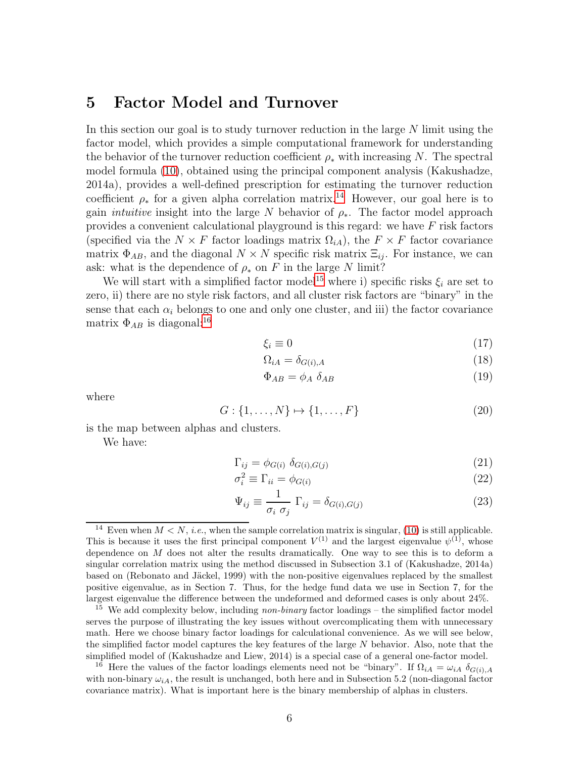### 5 Factor Model and Turnover

In this section our goal is to study turnover reduction in the large  $N$  limit using the factor model, which provides a simple computational framework for understanding the behavior of the turnover reduction coefficient  $\rho_*$  with increasing N. The spectral model formula [\(10\)](#page-4-3), obtained using the principal component analysis (Kakushadze, 2014a), provides a well-defined prescription for estimating the turnover reduction coefficient  $\rho_*$  for a given alpha correlation matrix.<sup>[14](#page-6-0)</sup> However, our goal here is to gain *intuitive* insight into the large N behavior of  $\rho_*$ . The factor model approach provides a convenient calculational playground is this regard: we have F risk factors (specified via the  $N \times F$  factor loadings matrix  $\Omega_{iA}$ ), the  $F \times F$  factor covariance matrix  $\Phi_{AB}$ , and the diagonal  $N \times N$  specific risk matrix  $\Xi_{ij}$ . For instance, we can ask: what is the dependence of  $\rho_*$  on F in the large N limit?

We will start with a simplified factor model<sup>[15](#page-6-1)</sup> where i) specific risks  $\xi_i$  are set to zero, ii) there are no style risk factors, and all cluster risk factors are "binary" in the sense that each  $\alpha_i$  belongs to one and only one cluster, and iii) the factor covariance matrix  $\Phi_{AB}$  is diagonal:<sup>[16](#page-6-2)</sup>

$$
\xi_i \equiv 0 \tag{17}
$$

$$
\Omega_{iA} = \delta_{G(i),A} \tag{18}
$$

$$
\Phi_{AB} = \phi_A \ \delta_{AB} \tag{19}
$$

where

$$
G: \{1, ..., N\} \mapsto \{1, ..., F\}
$$
 (20)

is the map between alphas and clusters.

We have:

$$
\Gamma_{ij} = \phi_{G(i)} \, \delta_{G(i), G(j)} \tag{21}
$$

$$
\sigma_i^2 \equiv \Gamma_{ii} = \phi_{G(i)} \tag{22}
$$

$$
\Psi_{ij} \equiv \frac{1}{\sigma_i \ \sigma_j} \ \Gamma_{ij} = \delta_{G(i),G(j)} \tag{23}
$$

<span id="page-6-0"></span><sup>&</sup>lt;sup>14</sup> Even when  $M < N$ , *i.e.*, when the sample correlation matrix is singular, [\(10\)](#page-4-3) is still applicable. This is because it uses the first principal component  $V^{(1)}$  and the largest eigenvalue  $\psi^{(1)}$ , whose dependence on  $M$  does not alter the results dramatically. One way to see this is to deform a singular correlation matrix using the method discussed in Subsection 3.1 of (Kakushadze, 2014a) based on (Rebonato and Jäckel, 1999) with the non-positive eigenvalues replaced by the smallest positive eigenvalue, as in Section 7. Thus, for the hedge fund data we use in Section 7, for the largest eigenvalue the difference between the undeformed and deformed cases is only about 24%.

<span id="page-6-1"></span><sup>&</sup>lt;sup>15</sup> We add complexity below, including *non-binary* factor loadings  $-$  the simplified factor model serves the purpose of illustrating the key issues without overcomplicating them with unnecessary math. Here we choose binary factor loadings for calculational convenience. As we will see below, the simplified factor model captures the key features of the large  $N$  behavior. Also, note that the simplified model of (Kakushadze and Liew, 2014) is a special case of a general one-factor model.

<span id="page-6-2"></span><sup>&</sup>lt;sup>16</sup> Here the values of the factor loadings elements need not be "binary". If  $\Omega_{iA} = \omega_{iA} \delta_{G(i),A}$ with non-binary  $\omega_{iA}$ , the result is unchanged, both here and in Subsection 5.2 (non-diagonal factor covariance matrix). What is important here is the binary membership of alphas in clusters.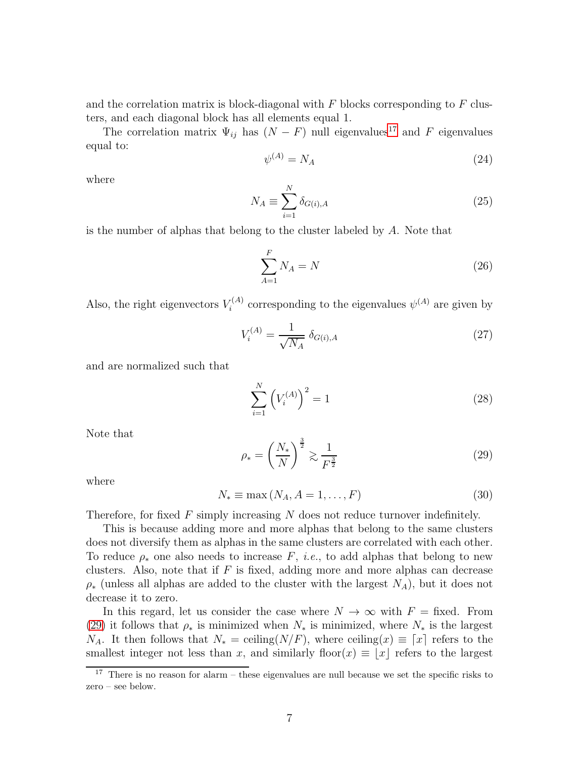and the correlation matrix is block-diagonal with  $F$  blocks corresponding to  $F$  clusters, and each diagonal block has all elements equal 1.

The correlation matrix  $\Psi_{ij}$  has  $(N - F)$  null eigenvalues<sup>[17](#page-7-1)</sup> and F eigenvalues equal to:

$$
\psi^{(A)} = N_A \tag{24}
$$

where

$$
N_A \equiv \sum_{i=1}^{N} \delta_{G(i),A} \tag{25}
$$

is the number of alphas that belong to the cluster labeled by A. Note that

$$
\sum_{A=1}^{F} N_A = N \tag{26}
$$

Also, the right eigenvectors  $V_i^{(A)}$  $\psi^{(A)}$  corresponding to the eigenvalues  $\psi^{(A)}$  are given by

<span id="page-7-2"></span>
$$
V_i^{(A)} = \frac{1}{\sqrt{N_A}} \delta_{G(i),A} \tag{27}
$$

and are normalized such that

$$
\sum_{i=1}^{N} \left( V_i^{(A)} \right)^2 = 1 \tag{28}
$$

Note that

<span id="page-7-0"></span>
$$
\rho_* = \left(\frac{N_*}{N}\right)^{\frac{3}{2}} \gtrsim \frac{1}{F^{\frac{3}{2}}} \tag{29}
$$

where

$$
N_* \equiv \max\left(N_A, A = 1, \dots, F\right) \tag{30}
$$

Therefore, for fixed  $F$  simply increasing  $N$  does not reduce turnover indefinitely.

This is because adding more and more alphas that belong to the same clusters does not diversify them as alphas in the same clusters are correlated with each other. To reduce  $\rho_*$  one also needs to increase F, *i.e.*, to add alphas that belong to new clusters. Also, note that if  $F$  is fixed, adding more and more alphas can decrease  $\rho_*$  (unless all alphas are added to the cluster with the largest  $N_A$ ), but it does not decrease it to zero.

In this regard, let us consider the case where  $N \to \infty$  with  $F =$  fixed. From [\(29\)](#page-7-0) it follows that  $\rho_*$  is minimized when  $N_*$  is minimized, where  $N_*$  is the largest  $N_A$ . It then follows that  $N_* =$  ceiling( $N/F$ ), where ceiling( $x \equiv x$  refers to the smallest integer not less than x, and similarly floor(x)  $\equiv |x|$  refers to the largest

<span id="page-7-1"></span><sup>&</sup>lt;sup>17</sup> There is no reason for alarm – these eigenvalues are null because we set the specific risks to zero – see below.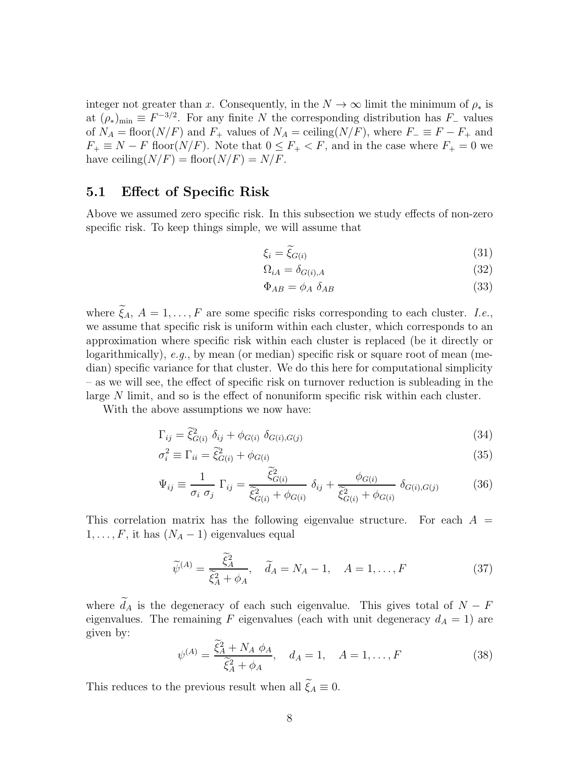integer not greater than x. Consequently, in the  $N \to \infty$  limit the minimum of  $\rho_*$  is at  $(\rho_*)_{\text{min}} \equiv F^{-3/2}$ . For any finite N the corresponding distribution has  $F_-\$  values of  $N_A = \text{floor}(N/F)$  and  $F_+$  values of  $N_A = \text{ceiling}(N/F)$ , where  $F_- \equiv F - F_+$  and  $F_+ \equiv N - F$  floor( $N/F$ ). Note that  $0 \le F_+ < F$ , and in the case where  $F_+ = 0$  we have ceiling( $N/F$ ) = floor( $N/F$ ) =  $N/F$ .

### 5.1 Effect of Specific Risk

Above we assumed zero specific risk. In this subsection we study effects of non-zero specific risk. To keep things simple, we will assume that

$$
\xi_i = \tilde{\xi}_{G(i)}\tag{31}
$$

$$
\Omega_{iA} = \delta_{G(i),A} \tag{32}
$$

$$
\Phi_{AB} = \phi_A \ \delta_{AB} \tag{33}
$$

where  $\xi_A$ ,  $A = 1, \ldots, F$  are some specific risks corresponding to each cluster. *I.e.*, we assume that specific risk is uniform within each cluster, which corresponds to an approximation where specific risk within each cluster is replaced (be it directly or logarithmically), e.g., by mean (or median) specific risk or square root of mean (median) specific variance for that cluster. We do this here for computational simplicity – as we will see, the effect of specific risk on turnover reduction is subleading in the large N limit, and so is the effect of nonuniform specific risk within each cluster.

With the above assumptions we now have:

$$
\Gamma_{ij} = \tilde{\xi}_{G(i)}^2 \delta_{ij} + \phi_{G(i)} \delta_{G(i),G(j)} \tag{34}
$$

$$
\sigma_i^2 \equiv \Gamma_{ii} = \tilde{\xi}_{G(i)}^2 + \phi_{G(i)} \tag{35}
$$

$$
\Psi_{ij} \equiv \frac{1}{\sigma_i \; \sigma_j} \; \Gamma_{ij} = \frac{\xi_{G(i)}^2}{\tilde{\xi}_{G(i)}^2 + \phi_{G(i)}} \; \delta_{ij} + \frac{\phi_{G(i)}}{\tilde{\xi}_{G(i)}^2 + \phi_{G(i)}} \; \delta_{G(i),G(j)} \tag{36}
$$

This correlation matrix has the following eigenvalue structure. For each  $A =$  $1, \ldots, F$ , it has  $(N_A - 1)$  eigenvalues equal

$$
\widetilde{\psi}^{(A)} = \frac{\widetilde{\xi}_A^2}{\widetilde{\xi}_A^2 + \phi_A}, \quad \widetilde{d}_A = N_A - 1, \quad A = 1, \dots, F
$$
\n(37)

where  $d_A$  is the degeneracy of each such eigenvalue. This gives total of  $N - F$ eigenvalues. The remaining F eigenvalues (each with unit degeneracy  $d_A = 1$ ) are given by:

$$
\psi^{(A)} = \frac{\xi_A^2 + N_A \phi_A}{\tilde{\xi}_A^2 + \phi_A}, \quad d_A = 1, \quad A = 1, \dots, F
$$
\n(38)

This reduces to the previous result when all  $\xi_A \equiv 0$ .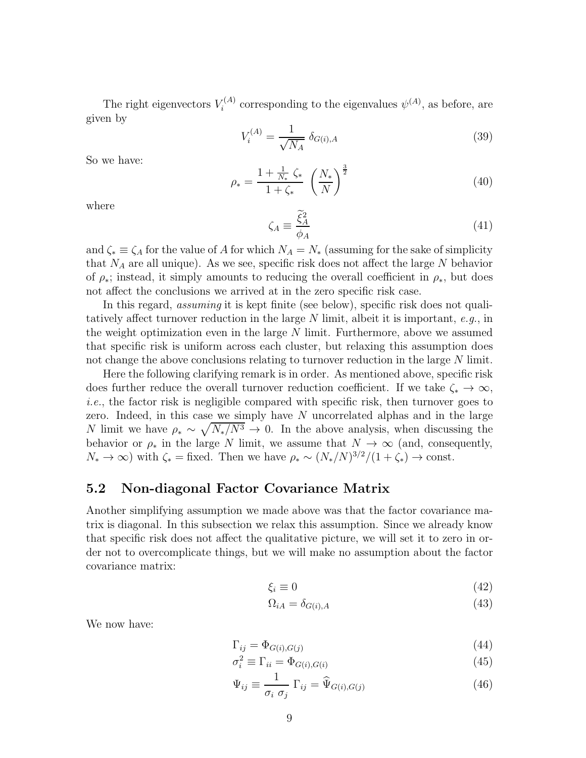The right eigenvectors  $V_i^{(A)}$  $\psi^{(A)}$  corresponding to the eigenvalues  $\psi^{(A)}$ , as before, are given by

$$
V_i^{(A)} = \frac{1}{\sqrt{N_A}} \delta_{G(i),A} \tag{39}
$$

So we have:

$$
\rho_* = \frac{1 + \frac{1}{N_*} \zeta_*}{1 + \zeta_*} \left(\frac{N_*}{N}\right)^{\frac{3}{2}}
$$
\n(40)

where

$$
\zeta_A \equiv \frac{\tilde{\xi}_A^2}{\phi_A} \tag{41}
$$

and  $\zeta_* \equiv \zeta_A$  for the value of A for which  $N_A = N_*$  (assuming for the sake of simplicity that  $N_A$  are all unique). As we see, specific risk does not affect the large  $N$  behavior of  $\rho_*$ ; instead, it simply amounts to reducing the overall coefficient in  $\rho_*$ , but does not affect the conclusions we arrived at in the zero specific risk case.

In this regard, assuming it is kept finite (see below), specific risk does not qualitatively affect turnover reduction in the large N limit, albeit it is important, e.g., in the weight optimization even in the large  $N$  limit. Furthermore, above we assumed that specific risk is uniform across each cluster, but relaxing this assumption does not change the above conclusions relating to turnover reduction in the large N limit.

Here the following clarifying remark is in order. As mentioned above, specific risk does further reduce the overall turnover reduction coefficient. If we take  $\zeta_* \to \infty$ , i.e., the factor risk is negligible compared with specific risk, then turnover goes to zero. Indeed, in this case we simply have  $N$  uncorrelated alphas and in the large N limit we have  $\rho_* \sim \sqrt{N_*/N^3} \to 0$ . In the above analysis, when discussing the behavior or  $\rho_*$  in the large N limit, we assume that  $N \to \infty$  (and, consequently,  $N_* \to \infty$ ) with  $\zeta_* =$  fixed. Then we have  $\rho_* \sim (N_*/N)^{3/2}/(1+\zeta_*) \to \text{const.}$ 

#### <span id="page-9-0"></span>5.2 Non-diagonal Factor Covariance Matrix

Another simplifying assumption we made above was that the factor covariance matrix is diagonal. In this subsection we relax this assumption. Since we already know that specific risk does not affect the qualitative picture, we will set it to zero in order not to overcomplicate things, but we will make no assumption about the factor covariance matrix:

$$
\xi_i \equiv 0\tag{42}
$$

$$
\Omega_{iA} = \delta_{G(i),A} \tag{43}
$$

We now have:

$$
\Gamma_{ij} = \Phi_{G(i), G(j)} \tag{44}
$$

$$
\sigma_i^2 \equiv \Gamma_{ii} = \Phi_{G(i),G(i)} \tag{45}
$$

$$
\Psi_{ij} \equiv \frac{1}{\sigma_i \ \sigma_j} \ \Gamma_{ij} = \widehat{\Psi}_{G(i),G(j)} \tag{46}
$$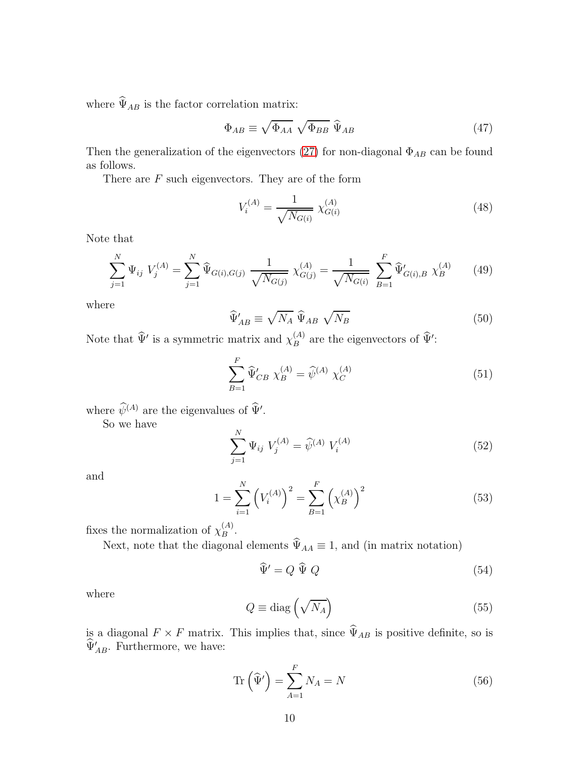where  $\widehat{\Psi}_{AB}$  is the factor correlation matrix:

$$
\Phi_{AB} \equiv \sqrt{\Phi_{AA}} \sqrt{\Phi_{BB}} \,\,\widehat{\Psi}_{AB} \tag{47}
$$

Then the generalization of the eigenvectors [\(27\)](#page-7-2) for non-diagonal  $\Phi_{AB}$  can be found as follows.

There are  $F$  such eigenvectors. They are of the form

$$
V_i^{(A)} = \frac{1}{\sqrt{N_{G(i)}}} \chi_{G(i)}^{(A)} \tag{48}
$$

Note that

$$
\sum_{j=1}^{N} \Psi_{ij} V_j^{(A)} = \sum_{j=1}^{N} \widehat{\Psi}_{G(i),G(j)} \frac{1}{\sqrt{N_{G(j)}}} \chi_{G(j)}^{(A)} = \frac{1}{\sqrt{N_{G(i)}}} \sum_{B=1}^{F} \widehat{\Psi}'_{G(i),B} \chi_B^{(A)} \qquad (49)
$$

where

$$
\widehat{\Psi}_{AB}' \equiv \sqrt{N_A} \; \widehat{\Psi}_{AB} \; \sqrt{N_B} \tag{50}
$$

Note that  $\widehat{\Psi}'$  is a symmetric matrix and  $\chi_B^{(A)}$  $B^{(A)}$  are the eigenvectors of  $\hat{\Psi}'$ :

<span id="page-10-0"></span>
$$
\sum_{B=1}^{F} \widehat{\Psi}'_{CB} \ \chi_B^{(A)} = \widehat{\psi}^{(A)} \ \chi_C^{(A)} \tag{51}
$$

where  $\psi^{(A)}$  are the eigenvalues of  $\hat{\Psi}'$ .

So we have

$$
\sum_{j=1}^{N} \Psi_{ij} \ V_j^{(A)} = \widehat{\psi}^{(A)} \ V_i^{(A)}
$$
\n(52)

and

<span id="page-10-1"></span>
$$
1 = \sum_{i=1}^{N} \left( V_i^{(A)} \right)^2 = \sum_{B=1}^{F} \left( \chi_B^{(A)} \right)^2 \tag{53}
$$

fixes the normalization of  $\chi_B^{(A)}$  $B^{(A)}$ .

Next, note that the diagonal elements  $\widehat{\Psi}_{AA} \equiv 1$ , and (in matrix notation)

$$
\widehat{\Psi}' = Q \widehat{\Psi} Q \tag{54}
$$

where

$$
Q \equiv \text{diag}\left(\sqrt{N_A}\right) \tag{55}
$$

is a diagonal  $F \times F$  matrix. This implies that, since  $\widehat{\Psi}_{AB}$  is positive definite, so is  $\widehat{\Psi}_{AB}^{\prime}$ . Furthermore, we have:

$$
\operatorname{Tr}\left(\widehat{\Psi}'\right) = \sum_{A=1}^{F} N_A = N \tag{56}
$$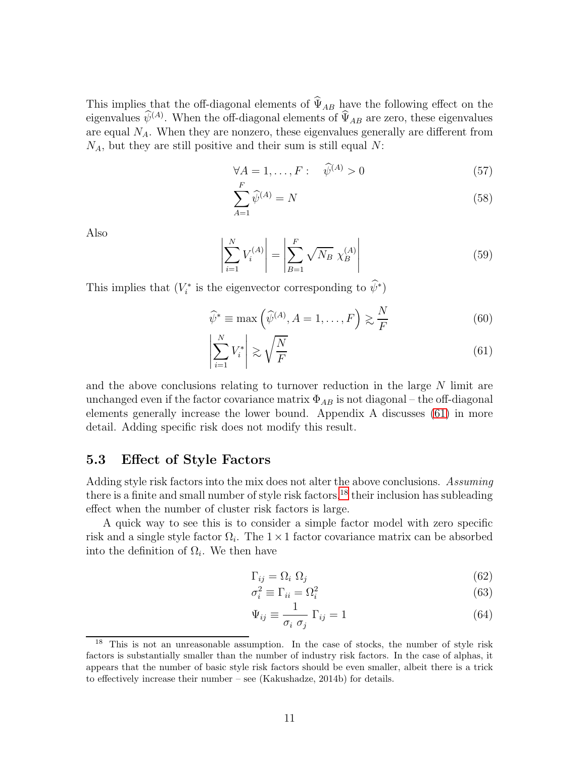This implies that the off-diagonal elements of  $\hat{\Psi}_{AB}$  have the following effect on the eigenvalues  $\hat{\psi}^{(A)}$ . When the off-diagonal elements of  $\hat{\Psi}_{AB}$  are zero, these eigenvalues are equal  $N_A$ . When they are nonzero, these eigenvalues generally are different from  $N_A$ , but they are still positive and their sum is still equal N:

$$
\forall A = 1, \dots, F: \quad \widehat{\psi}^{(A)} > 0 \tag{57}
$$

$$
\sum_{A=1}^{F} \widehat{\psi}^{(A)} = N \tag{58}
$$

Also

$$
\left| \sum_{i=1}^{N} V_i^{(A)} \right| = \left| \sum_{B=1}^{F} \sqrt{N_B} \chi_B^{(A)} \right| \tag{59}
$$

This implies that  $(V_i^*$  is the eigenvector corresponding to  $\hat{\psi}^*$ )

<span id="page-11-0"></span>
$$
\widehat{\psi}^* \equiv \max\left(\widehat{\psi}^{(A)}, A = 1, \dots, F\right) \gtrsim \frac{N}{F} \tag{60}
$$

$$
\left| \sum_{i=1}^{N} V_i^* \right| \gtrsim \sqrt{\frac{N}{F}} \tag{61}
$$

and the above conclusions relating to turnover reduction in the large  $N$  limit are unchanged even if the factor covariance matrix  $\Phi_{AB}$  is not diagonal – the off-diagonal elements generally increase the lower bound. Appendix A discusses [\(61\)](#page-11-0) in more detail. Adding specific risk does not modify this result.

### 5.3 Effect of Style Factors

Adding style risk factors into the mix does not alter the above conclusions. Assuming there is a finite and small number of style risk factors,  $^{18}$  $^{18}$  $^{18}$  their inclusion has subleading effect when the number of cluster risk factors is large.

A quick way to see this is to consider a simple factor model with zero specific risk and a single style factor  $\Omega_i$ . The  $1 \times 1$  factor covariance matrix can be absorbed into the definition of  $\Omega_i$ . We then have

$$
\Gamma_{ij} = \Omega_i \ \Omega_j \tag{62}
$$

$$
\sigma_i^2 \equiv \Gamma_{ii} = \Omega_i^2 \tag{63}
$$

$$
\Psi_{ij} \equiv \frac{1}{\sigma_i \ \sigma_j} \ \Gamma_{ij} = 1 \tag{64}
$$

<span id="page-11-1"></span><sup>&</sup>lt;sup>18</sup> This is not an unreasonable assumption. In the case of stocks, the number of style risk factors is substantially smaller than the number of industry risk factors. In the case of alphas, it appears that the number of basic style risk factors should be even smaller, albeit there is a trick to effectively increase their number – see (Kakushadze, 2014b) for details.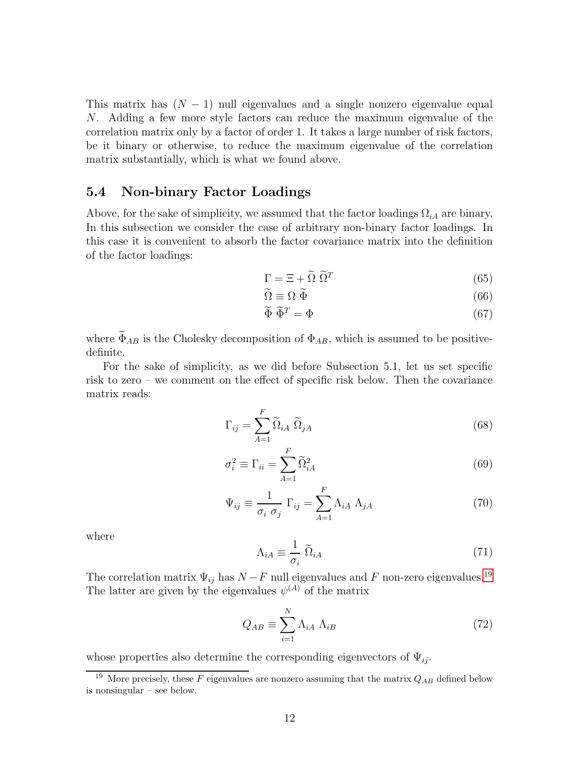This matrix has  $(N - 1)$  null eigenvalues and a single nonzero eigenvalue equal N. Adding a few more style factors can reduce the maximum eigenvalue of the correlation matrix only by a factor of order 1. It takes a large number of risk factors, be it binary or otherwise, to reduce the maximum eigenvalue of the correlation matrix substantially, which is what we found above.

#### 5.4 Non-binary Factor Loadings

Above, for the sake of simplicity, we assumed that the factor loadings  $\Omega_{iA}$  are binary. In this subsection we consider the case of arbitrary non-binary factor loadings. In this case it is convenient to absorb the factor covariance matrix into the definition of the factor loadings:

$$
\Gamma = \Xi + \tilde{\Omega} \; \tilde{\Omega}^T \tag{65}
$$

$$
\widetilde{\Omega} \equiv \Omega \; \widetilde{\Phi} \tag{66}
$$

$$
\widetilde{\Phi}\ \widetilde{\Phi}^T = \Phi\tag{67}
$$

where  $\widetilde{\Phi}_{AB}$  is the Cholesky decomposition of  $\Phi_{AB}$ , which is assumed to be positivedefinite.

For the sake of simplicity, as we did before Subsection 5.1, let us set specific risk to zero – we comment on the effect of specific risk below. Then the covariance matrix reads:

$$
\Gamma_{ij} = \sum_{A=1}^{F} \widetilde{\Omega}_{iA} \ \widetilde{\Omega}_{jA} \tag{68}
$$

$$
\sigma_i^2 \equiv \Gamma_{ii} = \sum_{A=1}^F \widetilde{\Omega}_{iA}^2 \tag{69}
$$

$$
\Psi_{ij} \equiv \frac{1}{\sigma_i \sigma_j} \Gamma_{ij} = \sum_{A=1}^{F} \Lambda_{iA} \Lambda_{jA}
$$
\n(70)

where

$$
\Lambda_{iA} \equiv \frac{1}{\sigma_i} \; \widetilde{\Omega}_{iA} \tag{71}
$$

The correlation matrix  $\Psi_{ij}$  has  $N-F$  null eigenvalues and F non-zero eigenvalues.<sup>[19](#page-12-0)</sup> The latter are given by the eigenvalues  $\psi^{(A)}$  of the matrix

$$
Q_{AB} \equiv \sum_{i=1}^{N} \Lambda_{iA} \Lambda_{iB} \tag{72}
$$

whose properties also determine the corresponding eigenvectors of  $\Psi_{ij}$ .

<span id="page-12-0"></span><sup>&</sup>lt;sup>19</sup> More precisely, these F eigenvalues are nonzero assuming that the matrix  $Q_{AB}$  defined below is nonsingular – see below.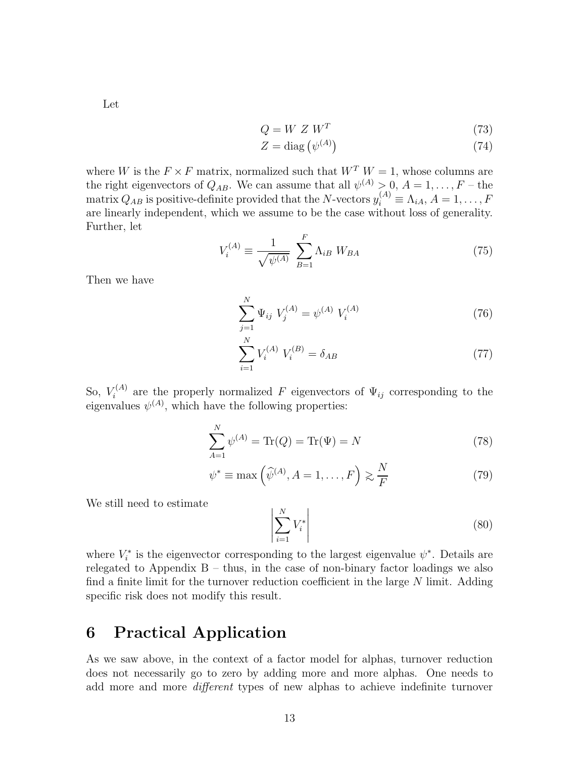Let

$$
Q = W Z W^T \tag{73}
$$

$$
Z = \text{diag}\left(\psi^{(A)}\right) \tag{74}
$$

where W is the  $F \times F$  matrix, normalized such that  $W^T W = 1$ , whose columns are the right eigenvectors of  $Q_{AB}$ . We can assume that all  $\psi^{(A)} > 0$ ,  $A = 1, \ldots, F -$  the matrix  $Q_{AB}$  is positive-definite provided that the N-vectors  $y_i^{(A)} \equiv \Lambda_{iA}, A = 1, \ldots, F$ are linearly independent, which we assume to be the case without loss of generality. Further, let

$$
V_i^{(A)} \equiv \frac{1}{\sqrt{\psi^{(A)}}} \sum_{B=1}^{F} \Lambda_{iB} \ W_{BA}
$$
 (75)

Then we have

$$
\sum_{j=1}^{N} \Psi_{ij} \ V_j^{(A)} = \psi^{(A)} \ V_i^{(A)}
$$
\n(76)

$$
\sum_{i=1}^{N} V_i^{(A)} V_i^{(B)} = \delta_{AB} \tag{77}
$$

So,  $V_i^{(A)}$  $\mathcal{F}_{i}^{(A)}$  are the properly normalized F eigenvectors of  $\Psi_{ij}$  corresponding to the eigenvalues  $\psi^{(A)}$ , which have the following properties:

<span id="page-13-1"></span>
$$
\sum_{A=1}^{N} \psi^{(A)} = \text{Tr}(Q) = \text{Tr}(\Psi) = N \tag{78}
$$

$$
\psi^* \equiv \max\left(\widehat{\psi}^{(A)}, A = 1, \dots, F\right) \gtrsim \frac{N}{F} \tag{79}
$$

We still need to estimate

<span id="page-13-0"></span>
$$
\left| \sum_{i=1}^{N} V_i^* \right| \tag{80}
$$

where  $V_i^*$  is the eigenvector corresponding to the largest eigenvalue  $\psi^*$ . Details are relegated to Appendix  $B -$  thus, in the case of non-binary factor loadings we also find a finite limit for the turnover reduction coefficient in the large  $N$  limit. Adding specific risk does not modify this result.

## 6 Practical Application

As we saw above, in the context of a factor model for alphas, turnover reduction does not necessarily go to zero by adding more and more alphas. One needs to add more and more different types of new alphas to achieve indefinite turnover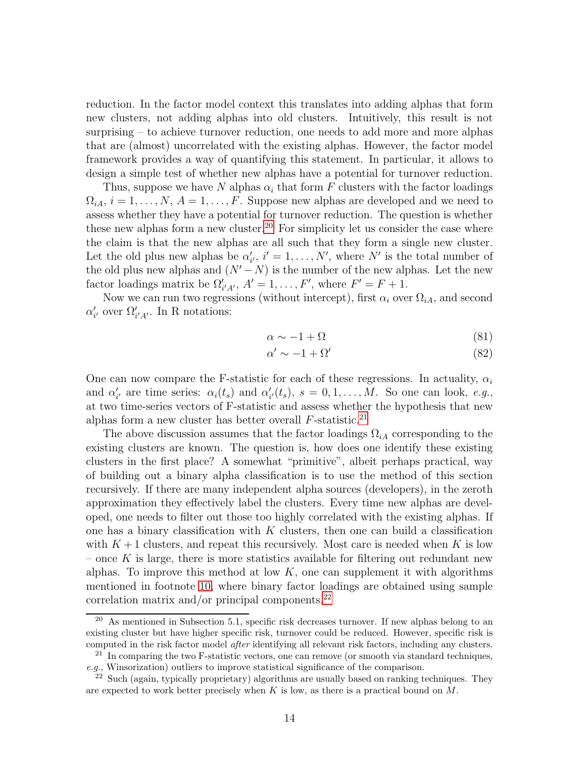reduction. In the factor model context this translates into adding alphas that form new clusters, not adding alphas into old clusters. Intuitively, this result is not surprising – to achieve turnover reduction, one needs to add more and more alphas that are (almost) uncorrelated with the existing alphas. However, the factor model framework provides a way of quantifying this statement. In particular, it allows to design a simple test of whether new alphas have a potential for turnover reduction.

Thus, suppose we have N alphas  $\alpha_i$  that form F clusters with the factor loadings  $\Omega_{iA}, i = 1, \ldots, N, A = 1, \ldots, F$ . Suppose new alphas are developed and we need to assess whether they have a potential for turnover reduction. The question is whether these new alphas form a new cluster.<sup>[20](#page-14-0)</sup> For simplicity let us consider the case where the claim is that the new alphas are all such that they form a single new cluster. Let the old plus new alphas be  $\alpha'_{i'}$ ,  $i' = 1, \ldots, N'$ , where N' is the total number of the old plus new alphas and  $(N' - N)$  is the number of the new alphas. Let the new factor loadings matrix be  $\Omega'_{i'A'}$ ,  $A' = 1, \ldots, F'$ , where  $F' = F + 1$ .

Now we can run two regressions (without intercept), first  $\alpha_i$  over  $\Omega_{iA}$ , and second  $\alpha'_{i'}$  over  $\Omega'_{i'A'}$ . In R notations:

$$
\alpha \sim -1 + \Omega \tag{81}
$$

$$
\alpha' \sim -1 + \Omega' \tag{82}
$$

One can now compare the F-statistic for each of these regressions. In actuality,  $\alpha_i$ and  $\alpha'_{i'}$  are time series:  $\alpha_i(t_s)$  and  $\alpha'_{i'}(t_s)$ ,  $s = 0, 1, ..., M$ . So one can look, e.g., at two time-series vectors of F-statistic and assess whether the hypothesis that new alphas form a new cluster has better overall  $F\text{-statistic}.^{21}$  $F\text{-statistic}.^{21}$  $F\text{-statistic}.^{21}$ 

The above discussion assumes that the factor loadings  $\Omega_{iA}$  corresponding to the existing clusters are known. The question is, how does one identify these existing clusters in the first place? A somewhat "primitive", albeit perhaps practical, way of building out a binary alpha classification is to use the method of this section recursively. If there are many independent alpha sources (developers), in the zeroth approximation they effectively label the clusters. Every time new alphas are developed, one needs to filter out those too highly correlated with the existing alphas. If one has a binary classification with  $K$  clusters, then one can build a classification with  $K+1$  clusters, and repeat this recursively. Most care is needed when K is low – once K is large, there is more statistics available for filtering out redundant new alphas. To improve this method at low  $K$ , one can supplement it with algorithms mentioned in footnote [10,](#page-4-1) where binary factor loadings are obtained using sample correlation matrix and/or principal components. $^{22}$  $^{22}$  $^{22}$ 

<span id="page-14-0"></span> $20$  As mentioned in Subsection 5.1, specific risk decreases turnover. If new alphas belong to an existing cluster but have higher specific risk, turnover could be reduced. However, specific risk is computed in the risk factor model after identifying all relevant risk factors, including any clusters.

<span id="page-14-1"></span> $21$  In comparing the two F-statistic vectors, one can remove (or smooth via standard techniques, e.g., Winsorization) outliers to improve statistical significance of the comparison.

<span id="page-14-2"></span> $22$  Such (again, typically proprietary) algorithms are usually based on ranking techniques. They are expected to work better precisely when  $K$  is low, as there is a practical bound on  $M$ .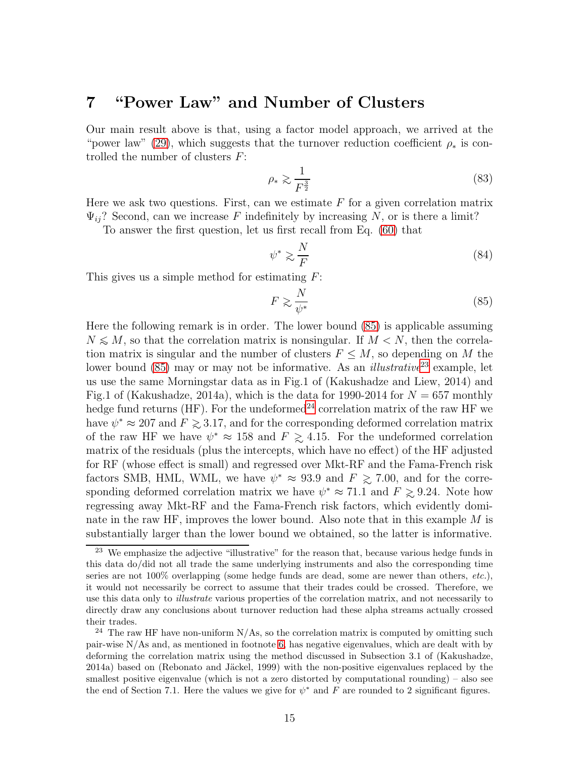### <span id="page-15-4"></span>7 "Power Law" and Number of Clusters

Our main result above is that, using a factor model approach, we arrived at the "power law" [\(29\)](#page-7-0), which suggests that the turnover reduction coefficient  $\rho_*$  is controlled the number of clusters  $F$ :

<span id="page-15-0"></span>
$$
\rho_* \gtrsim \frac{1}{F^{\frac{3}{2}}} \tag{83}
$$

Here we ask two questions. First, can we estimate  $F$  for a given correlation matrix  $\Psi_{ii}$ ? Second, can we increase F indefinitely by increasing N, or is there a limit?

To answer the first question, let us first recall from Eq. [\(60\)](#page-11-0) that

$$
\psi^* \gtrsim \frac{N}{F} \tag{84}
$$

This gives us a simple method for estimating  $F$ :

<span id="page-15-1"></span>
$$
F \gtrsim \frac{N}{\psi^*} \tag{85}
$$

Here the following remark is in order. The lower bound [\(85\)](#page-15-1) is applicable assuming  $N \leq M$ , so that the correlation matrix is nonsingular. If  $M < N$ , then the correlation matrix is singular and the number of clusters  $F \leq M$ , so depending on M the lower bound [\(85\)](#page-15-1) may or may not be informative. As an *illustrative*<sup>[23](#page-15-2)</sup> example, let us use the same Morningstar data as in Fig.1 of (Kakushadze and Liew, 2014) and Fig.1 of (Kakushadze, 2014a), which is the data for 1990-2014 for  $N = 657$  monthly hedge fund returns (HF). For the undeformed<sup>[24](#page-15-3)</sup> correlation matrix of the raw HF we have  $\psi^* \approx 207$  and  $F \gtrsim 3.17$ , and for the corresponding deformed correlation matrix<br>of the rew HF we have  $e^{i\phi} \approx 158$  and  $F \sim 4.15$ . For the undeformed correlation of the raw HF we have  $\psi^* \approx 158$  and  $F \gtrsim 4.15$ . For the undeformed correlation metric of the regiduals (plus the intercepts which have no effect) of the HF ediverted matrix of the residuals (plus the intercepts, which have no effect) of the HF adjusted for RF (whose effect is small) and regressed over Mkt-RF and the Fama-French risk factors SMB, HML, WML, we have  $\psi^* \approx 93.9$  and  $F \approx 7.00$ , and for the corre-<br>sponding deferred extraction metrix we have  $\psi^* \approx 71.1$  and  $F > 0.24$ . Note how sponding deformed correlation matrix we have  $\psi^* \approx 71.1$  and  $F \gtrsim 9.24$ . Note how regressing away Mkt-RF and the Fama-French risk factors, which evidently dominate in the raw HF, improves the lower bound. Also note that in this example M is substantially larger than the lower bound we obtained, so the latter is informative.

<span id="page-15-2"></span><sup>&</sup>lt;sup>23</sup> We emphasize the adjective "illustrative" for the reason that, because various hedge funds in this data do/did not all trade the same underlying instruments and also the corresponding time series are not 100% overlapping (some hedge funds are dead, some are newer than others, etc.), it would not necessarily be correct to assume that their trades could be crossed. Therefore, we use this data only to *illustrate* various properties of the correlation matrix, and not necessarily to directly draw any conclusions about turnover reduction had these alpha streams actually crossed their trades.

<span id="page-15-3"></span> $24$  The raw HF have non-uniform N/As, so the correlation matrix is computed by omitting such pair-wise N/As and, as mentioned in footnote [6,](#page-2-2) has negative eigenvalues, which are dealt with by deforming the correlation matrix using the method discussed in Subsection 3.1 of (Kakushadze, 2014a) based on (Rebonato and Jäckel, 1999) with the non-positive eigenvalues replaced by the smallest positive eigenvalue (which is not a zero distorted by computational rounding) – also see the end of Section 7.1. Here the values we give for  $\psi^*$  and F are rounded to 2 significant figures.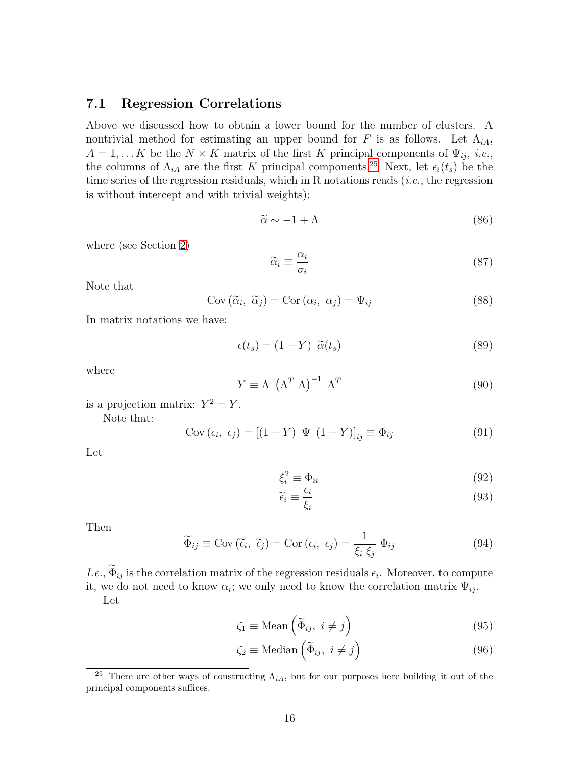#### 7.1 Regression Correlations

Above we discussed how to obtain a lower bound for the number of clusters. A nontrivial method for estimating an upper bound for F is as follows. Let  $\Lambda_{iA}$ ,  $A = 1, \dots K$  be the  $N \times K$  matrix of the first K principal components of  $\Psi_{ij}$ , *i.e.*, the columns of  $\Lambda_{iA}$  are the first K principal components.<sup>[25](#page-16-0)</sup> Next, let  $\epsilon_i(t_s)$  be the time series of the regression residuals, which in R notations reads  $(i.e.,$  the regression is without intercept and with trivial weights):

$$
\widetilde{\alpha} \sim -1 + \Lambda \tag{86}
$$

where (see Section [2\)](#page-2-3)

$$
\widetilde{\alpha}_i \equiv \frac{\alpha_i}{\sigma_i} \tag{87}
$$

Note that

$$
Cov\left(\tilde{\alpha}_i, \tilde{\alpha}_j\right) = Cor\left(\alpha_i, \alpha_j\right) = \Psi_{ij}
$$
\n(88)

In matrix notations we have:

$$
\epsilon(t_s) = (1 - Y) \tilde{\alpha}(t_s) \tag{89}
$$

where

$$
Y \equiv \Lambda \, \left(\Lambda^T \, \Lambda\right)^{-1} \, \Lambda^T \tag{90}
$$

is a projection matrix:  $Y^2 = Y$ .

Note that:

$$
Cov (\epsilon_i, \epsilon_j) = [(1 - Y) \Psi (1 - Y)]_{ij} \equiv \Phi_{ij}
$$
\n(91)

Let

$$
\xi_i^2 \equiv \Phi_{ii} \tag{92}
$$

$$
\widetilde{\epsilon}_i \equiv \frac{\epsilon_i}{\xi_i} \tag{93}
$$

Then

$$
\widetilde{\Phi}_{ij} \equiv \text{Cov}(\widetilde{\epsilon}_i, \ \widetilde{\epsilon}_j) = \text{Cor}(\epsilon_i, \ \epsilon_j) = \frac{1}{\xi_i \ \xi_j} \ \Phi_{ij} \tag{94}
$$

*I.e.*,  $\Phi_{ij}$  is the correlation matrix of the regression residuals  $\epsilon_i$ . Moreover, to compute it, we do not need to know  $\alpha_i$ ; we only need to know the correlation matrix  $\Psi_{ij}$ .

Let

$$
\zeta_1 \equiv \text{Mean}\left(\widetilde{\Phi}_{ij}, \ i \neq j\right) \tag{95}
$$

$$
\zeta_2 \equiv \text{Median}\left(\widetilde{\Phi}_{ij}, \ i \neq j\right) \tag{96}
$$

<span id="page-16-0"></span><sup>&</sup>lt;sup>25</sup> There are other ways of constructing  $\Lambda_{iA}$ , but for our purposes here building it out of the principal components suffices.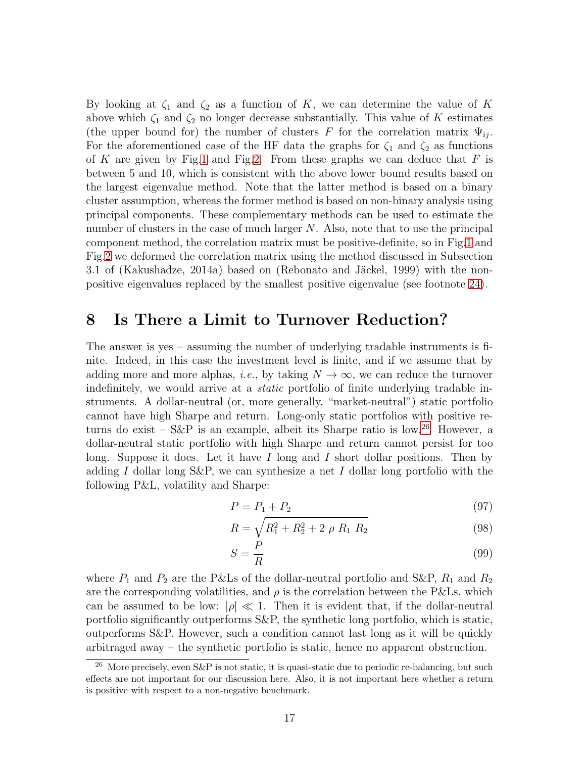By looking at  $\zeta_1$  and  $\zeta_2$  as a function of K, we can determine the value of K above which  $\zeta_1$  and  $\zeta_2$  no longer decrease substantially. This value of K estimates (the upper bound for) the number of clusters F for the correlation matrix  $\Psi_{ij}$ . For the aforementioned case of the HF data the graphs for  $\zeta_1$  and  $\zeta_2$  as functions of K are given by Fig[.1](#page-25-0) and Fig[.2.](#page-26-0) From these graphs we can deduce that  $F$  is between 5 and 10, which is consistent with the above lower bound results based on the largest eigenvalue method. Note that the latter method is based on a binary cluster assumption, whereas the former method is based on non-binary analysis using principal components. These complementary methods can be used to estimate the number of clusters in the case of much larger  $N$ . Also, note that to use the principal component method, the correlation matrix must be positive-definite, so in Fig[.1](#page-25-0) and Fig[.2](#page-26-0) we deformed the correlation matrix using the method discussed in Subsection 3.1 of (Kakushadze, 2014a) based on (Rebonato and Jäckel, 1999) with the nonpositive eigenvalues replaced by the smallest positive eigenvalue (see footnote [24\)](#page-15-3).

### <span id="page-17-0"></span>8 Is There a Limit to Turnover Reduction?

The answer is yes – assuming the number of underlying tradable instruments is finite. Indeed, in this case the investment level is finite, and if we assume that by adding more and more alphas, *i.e.*, by taking  $N \to \infty$ , we can reduce the turnover indefinitely, we would arrive at a static portfolio of finite underlying tradable instruments. A dollar-neutral (or, more generally, "market-neutral") static portfolio cannot have high Sharpe and return. Long-only static portfolios with positive returns do exist –  $S\&P$  is an example, albeit its Sharpe ratio is low.<sup>[26](#page-17-1)</sup> However, a dollar-neutral static portfolio with high Sharpe and return cannot persist for too long. Suppose it does. Let it have  $I$  long and  $I$  short dollar positions. Then by adding I dollar long S&P, we can synthesize a net I dollar long portfolio with the following P&L, volatility and Sharpe:

$$
P = P_1 + P_2 \tag{97}
$$

$$
R = \sqrt{R_1^2 + R_2^2 + 2 \rho R_1 R_2}
$$
 (98)

$$
S = \frac{P}{R} \tag{99}
$$

where  $P_1$  and  $P_2$  are the P&Ls of the dollar-neutral portfolio and S&P,  $R_1$  and  $R_2$ are the corresponding volatilities, and  $\rho$  is the correlation between the P&Ls, which can be assumed to be low:  $|\rho| \ll 1$ . Then it is evident that, if the dollar-neutral portfolio significantly outperforms S&P, the synthetic long portfolio, which is static, outperforms S&P. However, such a condition cannot last long as it will be quickly arbitraged away – the synthetic portfolio is static, hence no apparent obstruction.

<span id="page-17-1"></span><sup>&</sup>lt;sup>26</sup> More precisely, even S&P is not static, it is quasi-static due to periodic re-balancing, but such effects are not important for our discussion here. Also, it is not important here whether a return is positive with respect to a non-negative benchmark.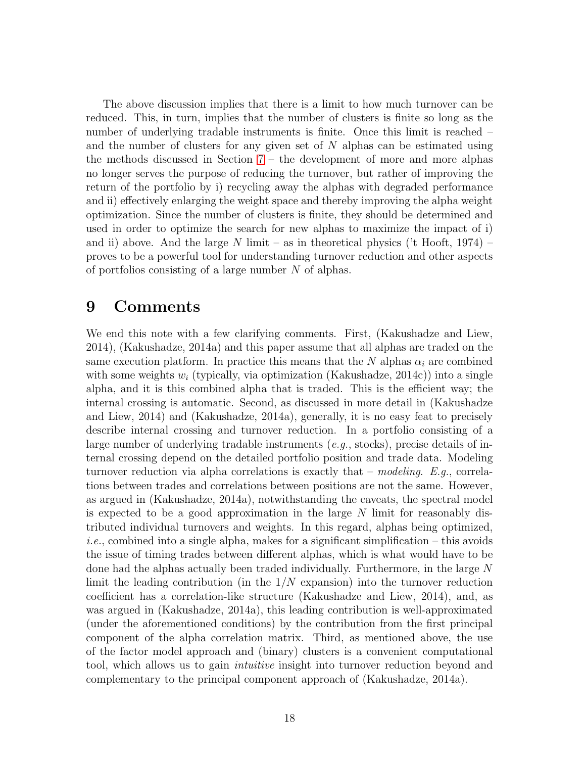The above discussion implies that there is a limit to how much turnover can be reduced. This, in turn, implies that the number of clusters is finite so long as the number of underlying tradable instruments is finite. Once this limit is reached – and the number of clusters for any given set of N alphas can be estimated using the methods discussed in Section [7](#page-15-4) – the development of more and more alphas no longer serves the purpose of reducing the turnover, but rather of improving the return of the portfolio by i) recycling away the alphas with degraded performance and ii) effectively enlarging the weight space and thereby improving the alpha weight optimization. Since the number of clusters is finite, they should be determined and used in order to optimize the search for new alphas to maximize the impact of i) and ii) above. And the large N limit – as in theoretical physics ( $\text{'t Hooft}$ , 1974) – proves to be a powerful tool for understanding turnover reduction and other aspects of portfolios consisting of a large number N of alphas.

### 9 Comments

We end this note with a few clarifying comments. First, (Kakushadze and Liew, 2014), (Kakushadze, 2014a) and this paper assume that all alphas are traded on the same execution platform. In practice this means that the N alphas  $\alpha_i$  are combined with some weights  $w_i$  (typically, via optimization (Kakushadze, 2014c)) into a single alpha, and it is this combined alpha that is traded. This is the efficient way; the internal crossing is automatic. Second, as discussed in more detail in (Kakushadze and Liew, 2014) and (Kakushadze, 2014a), generally, it is no easy feat to precisely describe internal crossing and turnover reduction. In a portfolio consisting of a large number of underlying tradable instruments (*e.g.*, stocks), precise details of internal crossing depend on the detailed portfolio position and trade data. Modeling turnover reduction via alpha correlations is exactly that – modeling. E.g., correlations between trades and correlations between positions are not the same. However, as argued in (Kakushadze, 2014a), notwithstanding the caveats, the spectral model is expected to be a good approximation in the large  $N$  limit for reasonably distributed individual turnovers and weights. In this regard, alphas being optimized, *i.e.*, combined into a single alpha, makes for a significant simplification  $-$  this avoids the issue of timing trades between different alphas, which is what would have to be done had the alphas actually been traded individually. Furthermore, in the large N limit the leading contribution (in the  $1/N$  expansion) into the turnover reduction coefficient has a correlation-like structure (Kakushadze and Liew, 2014), and, as was argued in (Kakushadze, 2014a), this leading contribution is well-approximated (under the aforementioned conditions) by the contribution from the first principal component of the alpha correlation matrix. Third, as mentioned above, the use of the factor model approach and (binary) clusters is a convenient computational tool, which allows us to gain *intuitive* insight into turnover reduction beyond and complementary to the principal component approach of (Kakushadze, 2014a).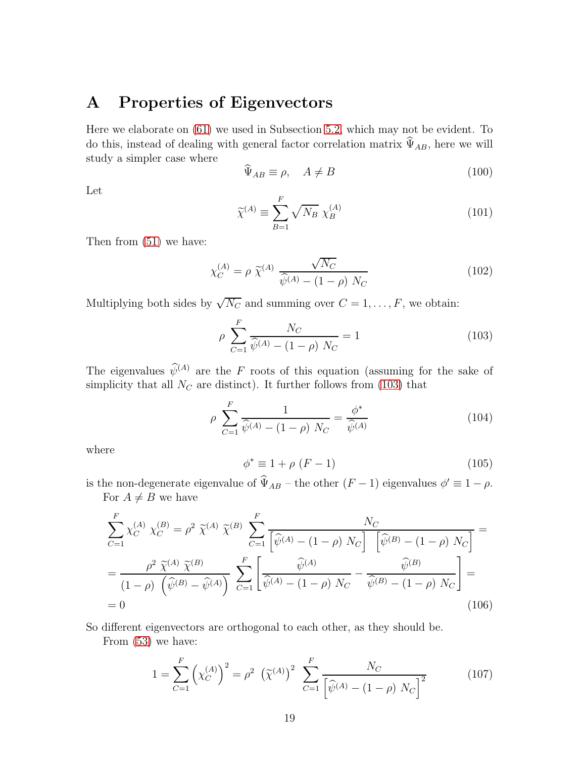# A Properties of Eigenvectors

Here we elaborate on [\(61\)](#page-11-0) we used in Subsection [5.2,](#page-9-0) which may not be evident. To do this, instead of dealing with general factor correlation matrix  $\widehat{\Psi}_{AB}$ , here we will study a simpler case where

$$
\widehat{\Psi}_{AB} \equiv \rho, \quad A \neq B \tag{100}
$$

Let

$$
\widetilde{\chi}^{(A)} \equiv \sum_{B=1}^{F} \sqrt{N_B} \ \chi_B^{(A)} \tag{101}
$$

Then from [\(51\)](#page-10-0) we have:

$$
\chi_C^{(A)} = \rho \ \tilde{\chi}^{(A)} \ \frac{\sqrt{N_C}}{\hat{\psi}^{(A)} - (1 - \rho) \ N_C} \tag{102}
$$

Multiplying both sides by  $\sqrt{N_C}$  and summing over  $C = 1, \ldots, F$ , we obtain:

<span id="page-19-0"></span>
$$
\rho \sum_{C=1}^{F} \frac{N_C}{\hat{\psi}^{(A)} - (1 - \rho) N_C} = 1
$$
\n(103)

The eigenvalues  $\widehat{\psi}^{(A)}$  are the F roots of this equation (assuming for the sake of simplicity that all  $N_C$  are distinct). It further follows from [\(103\)](#page-19-0) that

<span id="page-19-1"></span>
$$
\rho \sum_{C=1}^{F} \frac{1}{\hat{\psi}^{(A)} - (1 - \rho) N_C} = \frac{\phi^*}{\hat{\psi}^{(A)}} \tag{104}
$$

where

<span id="page-19-2"></span>
$$
\phi^* \equiv 1 + \rho \ (F - 1) \tag{105}
$$

is the non-degenerate eigenvalue of  $\hat{\Psi}_{AB}$  – the other  $(F-1)$  eigenvalues  $\phi' \equiv 1 - \rho$ . For  $A \neq B$  we have

$$
\sum_{C=1}^{F} \chi_{C}^{(A)} \chi_{C}^{(B)} = \rho^{2} \tilde{\chi}^{(A)} \tilde{\chi}^{(B)} \sum_{C=1}^{F} \frac{N_{C}}{\left[\hat{\psi}^{(A)} - (1 - \rho) N_{C}\right] \left[\hat{\psi}^{(B)} - (1 - \rho) N_{C}\right]} =
$$
  
\n
$$
= \frac{\rho^{2} \tilde{\chi}^{(A)} \tilde{\chi}^{(B)}}{(1 - \rho) \left(\hat{\psi}^{(B)} - \hat{\psi}^{(A)}\right)} \sum_{C=1}^{F} \left[\frac{\hat{\psi}^{(A)}}{\hat{\psi}^{(A)} - (1 - \rho) N_{C}} - \frac{\hat{\psi}^{(B)}}{\hat{\psi}^{(B)} - (1 - \rho) N_{C}}\right] =
$$
  
\n= 0 (106)

So different eigenvectors are orthogonal to each other, as they should be.

From [\(53\)](#page-10-1) we have:

<span id="page-19-3"></span>
$$
1 = \sum_{C=1}^{F} \left( \chi_C^{(A)} \right)^2 = \rho^2 \left( \tilde{\chi}^{(A)} \right)^2 \sum_{C=1}^{F} \frac{N_C}{\left[ \hat{\psi}^{(A)} - (1 - \rho) N_C \right]^2}
$$
(107)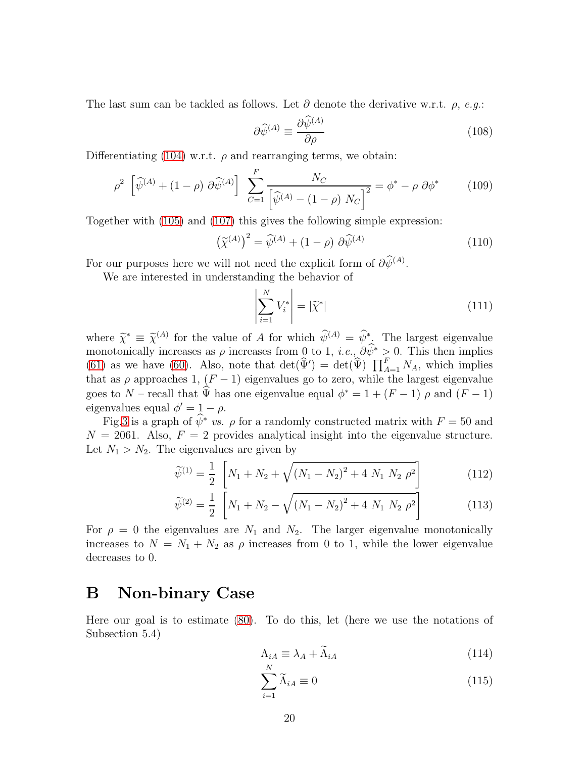The last sum can be tackled as follows. Let  $\partial$  denote the derivative w.r.t.  $\rho$ , e.g.:

$$
\partial \widehat{\psi}^{(A)} \equiv \frac{\partial \psi^{(A)}}{\partial \rho} \tag{108}
$$

Differentiating [\(104\)](#page-19-1) w.r.t.  $\rho$  and rearranging terms, we obtain:

$$
\rho^2 \left[ \hat{\psi}^{(A)} + (1 - \rho) \partial \hat{\psi}^{(A)} \right] \sum_{C=1}^F \frac{N_C}{\left[ \hat{\psi}^{(A)} - (1 - \rho) N_C \right]^2} = \phi^* - \rho \partial \phi^* \tag{109}
$$

Together with [\(105\)](#page-19-2) and [\(107\)](#page-19-3) this gives the following simple expression:

$$
\left(\widetilde{\chi}^{(A)}\right)^2 = \widehat{\psi}^{(A)} + (1 - \rho) \partial \widehat{\psi}^{(A)} \tag{110}
$$

For our purposes here we will not need the explicit form of  $\partial \psi^{(A)}$ .

We are interested in understanding the behavior of

$$
\left| \sum_{i=1}^{N} V_i^* \right| = |\widetilde{\chi}^*| \tag{111}
$$

where  $\widetilde{\chi}^* \equiv \widetilde{\chi}^{(A)}$  for the value of A for which  $\widetilde{\psi}^{(A)} = \widetilde{\psi}^*$ . The largest eigenvalue monotonically increases as  $\rho$  increases from 0 to 1, *i.e.*,  $\partial \hat{\psi}^* \geq 0$ . This then implies [\(61\)](#page-11-0) as we have [\(60\)](#page-11-0). Also, note that  $\det(\widehat{\Psi}') = \det(\widehat{\Psi}) \prod_{A=1}^{F} N_A$ , which implies that as  $\rho$  approaches 1,  $(F - 1)$  eigenvalues go to zero, while the largest eigenvalue goes to N – recall that  $\hat{\Psi}$  has one eigenvalue equal  $\phi^* = 1 + (F - 1) \rho$  and  $(F - 1)$ eigenvalues equal  $\phi' = 1 - \rho$ .

Fig[.3](#page-27-0) is a graph of  $\hat{\psi}^*$  vs.  $\rho$  for a randomly constructed matrix with  $F = 50$  and  $N = 2061$ . Also,  $F = 2$  provides analytical insight into the eigenvalue structure. Let  $N_1 > N_2$ . The eigenvalues are given by

$$
\widetilde{\psi}^{(1)} = \frac{1}{2} \left[ N_1 + N_2 + \sqrt{(N_1 - N_2)^2 + 4 N_1 N_2 \rho^2} \right] \tag{112}
$$

$$
\widetilde{\psi}^{(2)} = \frac{1}{2} \left[ N_1 + N_2 - \sqrt{(N_1 - N_2)^2 + 4 N_1 N_2 \rho^2} \right]
$$
(113)

For  $\rho = 0$  the eigenvalues are  $N_1$  and  $N_2$ . The larger eigenvalue monotonically increases to  $N = N_1 + N_2$  as  $\rho$  increases from 0 to 1, while the lower eigenvalue decreases to 0.

### B Non-binary Case

Here our goal is to estimate [\(80\)](#page-13-0). To do this, let (here we use the notations of Subsection 5.4)

$$
\Lambda_{iA} \equiv \lambda_A + \tilde{\Lambda}_{iA} \tag{114}
$$

$$
\sum_{i=1}^{N} \widetilde{\Lambda}_{iA} \equiv 0 \tag{115}
$$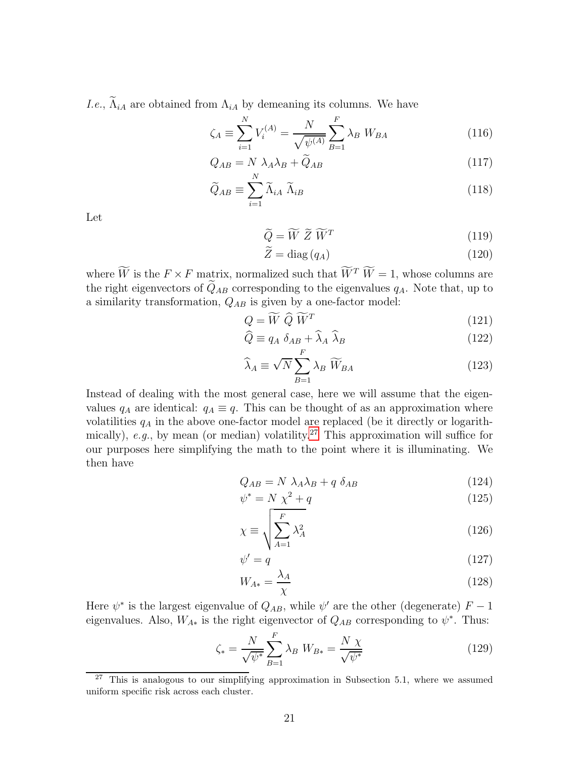*I.e.*,  $\tilde{\Lambda}_{iA}$  are obtained from  $\Lambda_{iA}$  by demeaning its columns. We have

$$
\zeta_A \equiv \sum_{i=1}^N V_i^{(A)} = \frac{N}{\sqrt{\psi^{(A)}}} \sum_{B=1}^F \lambda_B W_{BA}
$$
 (116)

$$
Q_{AB} = N \lambda_A \lambda_B + \widetilde{Q}_{AB} \tag{117}
$$

$$
\widetilde{Q}_{AB} \equiv \sum_{i=1}^{N} \widetilde{\Lambda}_{iA} \ \widetilde{\Lambda}_{iB} \tag{118}
$$

Let

$$
\widetilde{Q} = \widetilde{W} \; \widetilde{Z} \; \widetilde{W}^T \tag{119}
$$

$$
Z = \text{diag}(q_A) \tag{120}
$$

where W is the  $F \times F$  matrix, normalized such that  $W^T W = 1$ , whose columns are the right eigenvectors of  $\widetilde{Q}_{AB}$  corresponding to the eigenvalues  $q_A$ . Note that, up to a similarity transformation,  $Q_{AB}$  is given by a one-factor model:

$$
Q = \widetilde{W} \; \widehat{Q} \; \widetilde{W}^T \tag{121}
$$

$$
\widehat{Q} \equiv q_A \ \delta_{AB} + \widehat{\lambda}_A \ \widehat{\lambda}_B \tag{122}
$$

$$
\widehat{\lambda}_A \equiv \sqrt{N} \sum_{B=1}^F \lambda_B \widetilde{W}_{BA} \tag{123}
$$

Instead of dealing with the most general case, here we will assume that the eigenvalues  $q_A$  are identical:  $q_A \equiv q$ . This can be thought of as an approximation where volatilities  $q_A$  in the above one-factor model are replaced (be it directly or logarith-mically), e.g., by mean (or median) volatility.<sup>[27](#page-21-0)</sup> This approximation will suffice for our purposes here simplifying the math to the point where it is illuminating. We then have

$$
Q_{AB} = N \lambda_A \lambda_B + q \delta_{AB} \tag{124}
$$

$$
\psi^* = N \chi^2 + q \tag{125}
$$

$$
\chi \equiv \sqrt{\sum_{A=1}^{F} \lambda_A^2} \tag{126}
$$

$$
\psi' = q \tag{127}
$$

$$
W_{A*} = \frac{\lambda_A}{\chi} \tag{128}
$$

Here  $\psi^*$  is the largest eigenvalue of  $Q_{AB}$ , while  $\psi'$  are the other (degenerate)  $F-1$ eigenvalues. Also,  $W_{A*}$  is the right eigenvector of  $Q_{AB}$  corresponding to  $\psi^*$ . Thus:

<span id="page-21-1"></span>
$$
\zeta_* = \frac{N}{\sqrt{\psi^*}} \sum_{B=1}^{F} \lambda_B \ W_{B*} = \frac{N \ \chi}{\sqrt{\psi^*}}
$$
(129)

<span id="page-21-0"></span><sup>&</sup>lt;sup>27</sup> This is analogous to our simplifying approximation in Subsection 5.1, where we assumed uniform specific risk across each cluster.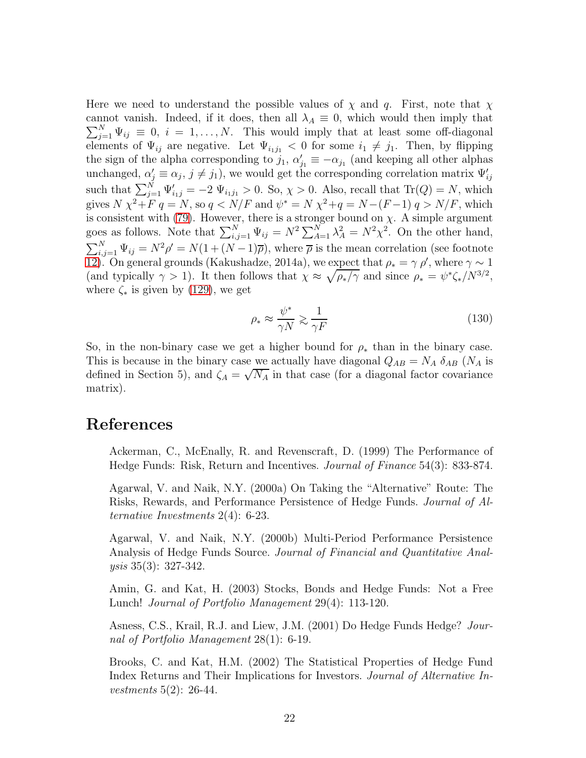Here we need to understand the possible values of  $\chi$  and q. First, note that  $\chi$ cannot vanish. Indeed, if it does, then all  $\lambda_A \equiv 0$ , which would then imply that  $\sum_{j=1}^{N} \Psi_{ij} \equiv 0, i = 1, \ldots, N$ . This would imply that at least some off-diagonal elements of  $\Psi_{ij}$  are negative. Let  $\Psi_{i_1j_1} < 0$  for some  $i_1 \neq j_1$ . Then, by flipping the sign of the alpha corresponding to  $j_1, \alpha'_{j_1} \equiv -\alpha_{j_1}$  (and keeping all other alphas unchanged,  $\alpha'_{j} \equiv \alpha_{j}, j \neq j_{1}$ , we would get the corresponding correlation matrix  $\Psi'_{ij}$ such that  $\sum_{j=1}^{N} \Psi'_{i,j} = -2 \Psi_{i,j} > 0$ . So,  $\chi > 0$ . Also, recall that  $\text{Tr}(Q) = N$ , which gives  $N \chi^2 + F q = N$ , so  $q < N/F$  and  $\psi^* = N \chi^2 + q = N - (F - 1) q > N/F$ , which is consistent with [\(79\)](#page-13-1). However, there is a stronger bound on  $\chi$ . A simple argument goes as follows. Note that  $\sum_{i,j=1}^{N} \Psi_{ij} = N^2 \sum_{A=1}^{N} \lambda_A^2 = N^2 \chi^2$ . On the other hand,  $\sum_{i,j=1}^{N} \Psi_{ij} = N^2 \rho' = N(1 + (N-1)\overline{\rho})$ , where  $\overline{\rho}$  is the mean correlation (see footnote [12\)](#page-5-0). On general grounds (Kakushadze, 2014a), we expect that  $\rho_* = \gamma \rho'$ , where  $\gamma \sim 1$ (and typically  $\gamma > 1$ ). It then follows that  $\chi \approx \sqrt{\rho_*/\gamma}$  and since  $\rho_* = \psi^* \zeta_* / N^{3/2}$ , where  $\zeta_*$  is given by [\(129\)](#page-21-1), we get

$$
\rho_* \approx \frac{\psi^*}{\gamma N} \gtrsim \frac{1}{\gamma F} \tag{130}
$$

So, in the non-binary case we get a higher bound for  $\rho_*$  than in the binary case. This is because in the binary case we actually have diagonal  $Q_{AB} = N_A \delta_{AB} (N_A)$  is defined in Section 5), and  $\zeta_A = \sqrt{N_A}$  in that case (for a diagonal factor covariance matrix).

### References

Ackerman, C., McEnally, R. and Revenscraft, D. (1999) The Performance of Hedge Funds: Risk, Return and Incentives. Journal of Finance 54(3): 833-874.

Agarwal, V. and Naik, N.Y. (2000a) On Taking the "Alternative" Route: The Risks, Rewards, and Performance Persistence of Hedge Funds. Journal of Alternative Investments 2(4): 6-23.

Agarwal, V. and Naik, N.Y. (2000b) Multi-Period Performance Persistence Analysis of Hedge Funds Source. Journal of Financial and Quantitative Analysis 35(3): 327-342.

Amin, G. and Kat, H. (2003) Stocks, Bonds and Hedge Funds: Not a Free Lunch! Journal of Portfolio Management 29(4): 113-120.

Asness, C.S., Krail, R.J. and Liew, J.M. (2001) Do Hedge Funds Hedge? Journal of Portfolio Management 28(1): 6-19.

Brooks, C. and Kat, H.M. (2002) The Statistical Properties of Hedge Fund Index Returns and Their Implications for Investors. Journal of Alternative Investments 5(2): 26-44.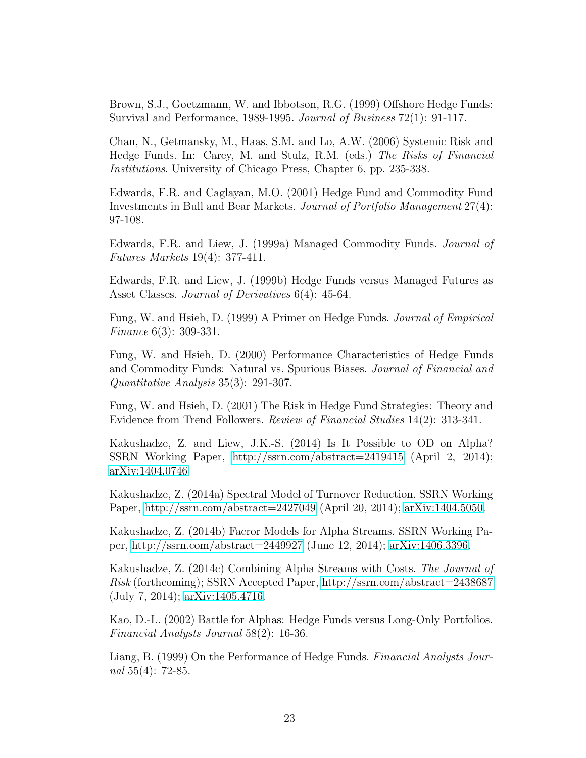Brown, S.J., Goetzmann, W. and Ibbotson, R.G. (1999) Offshore Hedge Funds: Survival and Performance, 1989-1995. Journal of Business 72(1): 91-117.

Chan, N., Getmansky, M., Haas, S.M. and Lo, A.W. (2006) Systemic Risk and Hedge Funds. In: Carey, M. and Stulz, R.M. (eds.) The Risks of Financial Institutions. University of Chicago Press, Chapter 6, pp. 235-338.

Edwards, F.R. and Caglayan, M.O. (2001) Hedge Fund and Commodity Fund Investments in Bull and Bear Markets. Journal of Portfolio Management 27(4): 97-108.

Edwards, F.R. and Liew, J. (1999a) Managed Commodity Funds. Journal of Futures Markets 19(4): 377-411.

Edwards, F.R. and Liew, J. (1999b) Hedge Funds versus Managed Futures as Asset Classes. Journal of Derivatives  $6(4)$ : 45-64.

Fung, W. and Hsieh, D. (1999) A Primer on Hedge Funds. Journal of Empirical Finance 6(3): 309-331.

Fung, W. and Hsieh, D. (2000) Performance Characteristics of Hedge Funds and Commodity Funds: Natural vs. Spurious Biases. Journal of Financial and Quantitative Analysis 35(3): 291-307.

Fung, W. and Hsieh, D. (2001) The Risk in Hedge Fund Strategies: Theory and Evidence from Trend Followers. Review of Financial Studies 14(2): 313-341.

Kakushadze, Z. and Liew, J.K.-S. (2014) Is It Possible to OD on Alpha? SSRN Working Paper,<http://ssrn.com/abstract=2419415> (April 2, 2014); [arXiv:1404.0746.](http://arxiv.org/abs/1404.0746)

Kakushadze, Z. (2014a) Spectral Model of Turnover Reduction. SSRN Working Paper,<http://ssrn.com/abstract=2427049> (April 20, 2014); [arXiv:1404.5050.](http://arxiv.org/abs/1404.5050)

Kakushadze, Z. (2014b) Facror Models for Alpha Streams. SSRN Working Paper,<http://ssrn.com/abstract=2449927> (June 12, 2014); [arXiv:1406.3396.](http://arxiv.org/abs/1406.3396)

Kakushadze, Z. (2014c) Combining Alpha Streams with Costs. The Journal of Risk (forthcoming); SSRN Accepted Paper,<http://ssrn.com/abstract=2438687> (July 7, 2014); [arXiv:1405.4716.](http://arxiv.org/abs/1405.4716)

Kao, D.-L. (2002) Battle for Alphas: Hedge Funds versus Long-Only Portfolios. Financial Analysts Journal 58(2): 16-36.

Liang, B. (1999) On the Performance of Hedge Funds. Financial Analysts Journal 55(4): 72-85.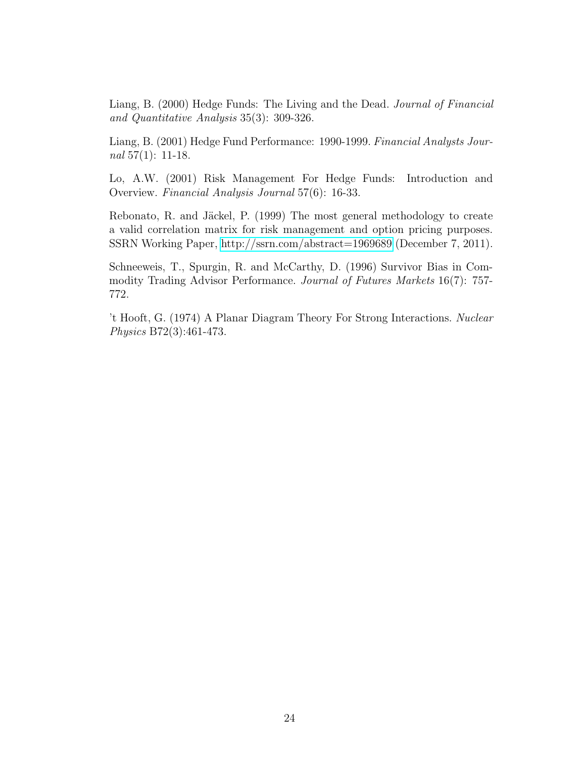Liang, B. (2000) Hedge Funds: The Living and the Dead. Journal of Financial and Quantitative Analysis 35(3): 309-326.

Liang, B. (2001) Hedge Fund Performance: 1990-1999. Financial Analysts Journal  $57(1)$ : 11-18.

Lo, A.W. (2001) Risk Management For Hedge Funds: Introduction and Overview. Financial Analysis Journal 57(6): 16-33.

Rebonato, R. and Jäckel, P. (1999) The most general methodology to create a valid correlation matrix for risk management and option pricing purposes. SSRN Working Paper,<http://ssrn.com/abstract=1969689> (December 7, 2011).

Schneeweis, T., Spurgin, R. and McCarthy, D. (1996) Survivor Bias in Commodity Trading Advisor Performance. Journal of Futures Markets 16(7): 757- 772.

't Hooft, G. (1974) A Planar Diagram Theory For Strong Interactions. Nuclear Physics B72(3):461-473.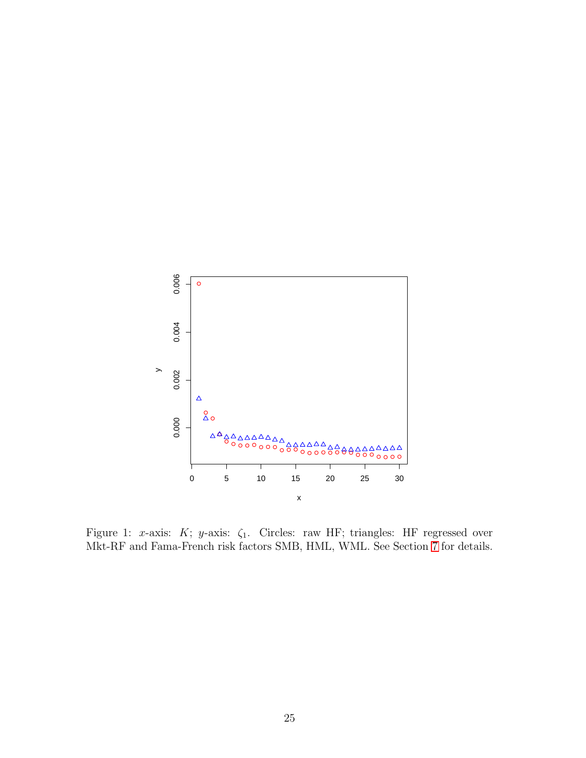

<span id="page-25-0"></span>Figure 1: x-axis: K; y-axis:  $\zeta_1$ . Circles: raw HF; triangles: HF regressed over Mkt-RF and Fama-French risk factors SMB, HML, WML. See Section [7](#page-15-4) for details.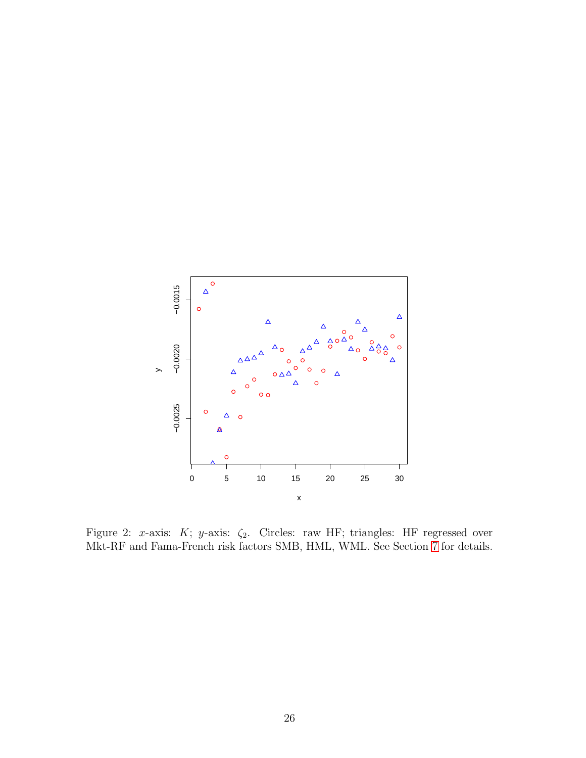

<span id="page-26-0"></span>Figure 2: x-axis: K; y-axis:  $\zeta_2$ . Circles: raw HF; triangles: HF regressed over Mkt-RF and Fama-French risk factors SMB, HML, WML. See Section [7](#page-15-4) for details.